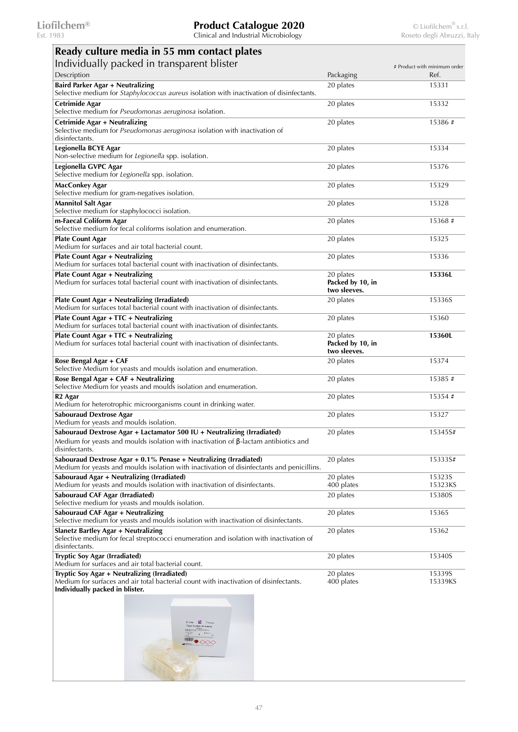| Ready culture media in 55 mm contact plates                                                                                                                              |                                               |                              |
|--------------------------------------------------------------------------------------------------------------------------------------------------------------------------|-----------------------------------------------|------------------------------|
| Individually packed in transparent blister                                                                                                                               |                                               | # Product with minimum order |
| Description                                                                                                                                                              | Packaging                                     | Ref.                         |
| Baird Parker Agar + Neutralizing                                                                                                                                         | 20 plates                                     | 15331                        |
| Selective medium for Staphylococcus aureus isolation with inactivation of disinfectants.                                                                                 |                                               |                              |
| <b>Cetrimide Agar</b><br>Selective medium for Pseudomonas aeruginosa isolation.                                                                                          | 20 plates                                     | 15332                        |
| Cetrimide Agar + Neutralizing<br>Selective medium for Pseudomonas aeruginosa isolation with inactivation of<br>disinfectants.                                            | 20 plates                                     | 15386#                       |
| Legionella BCYE Agar<br>Non-selective medium for Legionella spp. isolation.                                                                                              | 20 plates                                     | 15334                        |
| Legionella GVPC Agar<br>Selective medium for Legionella spp. isolation.                                                                                                  | 20 plates                                     | 15376                        |
| <b>MacConkey Agar</b><br>Selective medium for gram-negatives isolation.                                                                                                  | 20 plates                                     | 15329                        |
| <b>Mannitol Salt Agar</b><br>Selective medium for staphylococci isolation.                                                                                               | 20 plates                                     | 15328                        |
| m-Faecal Coliform Agar<br>Selective medium for fecal coliforms isolation and enumeration.                                                                                | 20 plates                                     | 15368#                       |
| <b>Plate Count Agar</b><br>Medium for surfaces and air total bacterial count.                                                                                            | 20 plates                                     | 15325                        |
| <b>Plate Count Agar + Neutralizing</b><br>Medium for surfaces total bacterial count with inactivation of disinfectants.                                                  | 20 plates                                     | 15336                        |
| <b>Plate Count Agar + Neutralizing</b><br>Medium for surfaces total bacterial count with inactivation of disinfectants.                                                  | 20 plates<br>Packed by 10, in<br>two sleeves. | 15336L                       |
| Plate Count Agar + Neutralizing (Irradiated)<br>Medium for surfaces total bacterial count with inactivation of disinfectants.                                            | 20 plates                                     | 15336S                       |
| Plate Count Agar + TTC + Neutralizing                                                                                                                                    | 20 plates                                     | 15360                        |
| Medium for surfaces total bacterial count with inactivation of disinfectants.                                                                                            |                                               |                              |
| Plate Count Agar + TTC + Neutralizing<br>Medium for surfaces total bacterial count with inactivation of disinfectants.                                                   | 20 plates<br>Packed by 10, in<br>two sleeves. | 15360L                       |
| Rose Bengal Agar + CAF<br>Selective Medium for yeasts and moulds isolation and enumeration.                                                                              | 20 plates                                     | 15374                        |
| Rose Bengal Agar + CAF + Neutralizing<br>Selective Medium for yeasts and moulds isolation and enumeration.                                                               | 20 plates                                     | 15385#                       |
| R <sub>2</sub> Agar<br>Medium for heterotrophic microorganisms count in drinking water.                                                                                  | 20 plates                                     | 15354#                       |
| <b>Sabouraud Dextrose Agar</b><br>Medium for yeasts and moulds isolation.                                                                                                | 20 plates                                     | 15327                        |
| Sabouraud Dextrose Agar + Lactamator 500 IU + Neutralizing (Irradiated)<br>Medium for yeasts and moulds isolation with inactivation of $\beta$ -lactam antibiotics and   | 20 plates                                     | 15345S#                      |
| disinfectants.<br>Sabouraud Dextrose Agar $+$ 0.1% Penase $+$ Neutralizing (Irradiated)                                                                                  | 20 plates                                     | 15333S#                      |
| Medium for yeasts and moulds isolation with inactivation of disinfectants and penicillins.                                                                               |                                               |                              |
| Sabouraud Agar + Neutralizing (Irradiated)<br>Medium for yeasts and moulds isolation with inactivation of disinfectants.                                                 | 20 plates<br>400 plates                       | 15323S<br>15323KS            |
| Sabouraud CAF Agar (Irradiated)<br>Selective medium for yeasts and moulds isolation.                                                                                     | 20 plates                                     | 15380S                       |
| Sabouraud CAF Agar + Neutralizing<br>Selective medium for yeasts and moulds isolation with inactivation of disinfectants.                                                | 20 plates                                     | 15365                        |
| Slanetz Bartley Agar + Neutralizing<br>Selective medium for fecal streptococci enumeration and isolation with inactivation of<br>disinfectants.                          | 20 plates                                     | 15362                        |
| Tryptic Soy Agar (Irradiated)<br>Medium for surfaces and air total bacterial count.                                                                                      | 20 plates                                     | 15340S                       |
| Tryptic Soy Agar + Neutralizing (Irradiated)<br>Medium for surfaces and air total bacterial count with inactivation of disinfectants.<br>Individually packed in blister. | 20 plates<br>400 plates                       | 15339S<br>15339KS            |

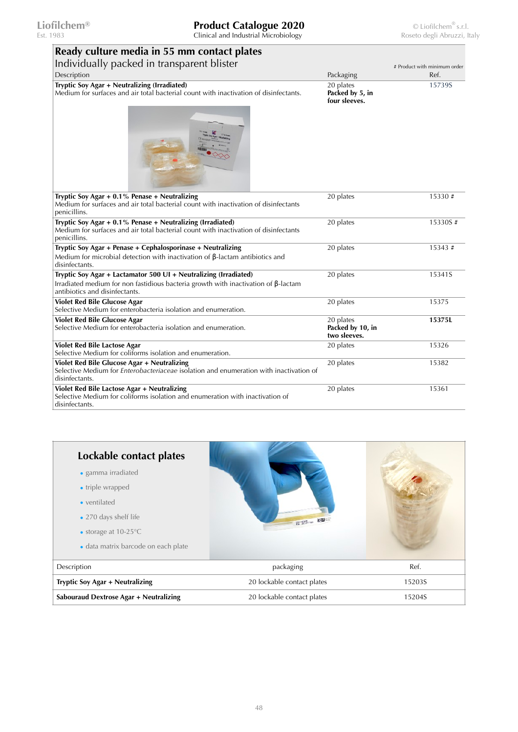Est. 1983 Clinical and Industrial Microbiology Roseto degli Abruzzi, Italy

| Ready culture media in 55 mm contact plates                                                                                                                                                     |                                               |                              |
|-------------------------------------------------------------------------------------------------------------------------------------------------------------------------------------------------|-----------------------------------------------|------------------------------|
| Individually packed in transparent blister                                                                                                                                                      |                                               | # Product with minimum order |
| Description                                                                                                                                                                                     | Packaging                                     | Ref.                         |
| Tryptic Soy Agar + Neutralizing (Irradiated)<br>Medium for surfaces and air total bacterial count with inactivation of disinfectants.                                                           | 20 plates<br>Packed by 5, in<br>four sleeves. | 15739S                       |
| Tryptic Soy Agar $+$ 0.1% Penase $+$ Neutralizing<br>Medium for surfaces and air total bacterial count with inactivation of disinfectants<br>penicillins.                                       | 20 plates                                     | 15330#                       |
| Tryptic Soy Agar + 0.1% Penase + Neutralizing (Irradiated)<br>Medium for surfaces and air total bacterial count with inactivation of disinfectants<br>penicillins.                              | 20 plates                                     | 15330S#                      |
| Tryptic Soy Agar + Penase + Cephalosporinase + Neutralizing<br>Medium for microbial detection with inactivation of $\beta$ -lactam antibiotics and<br>disinfectants.                            | 20 plates                                     | 15343#                       |
| Tryptic Soy Agar + Lactamator 500 UI + Neutralizing (Irradiated)<br>Irradiated medium for non fastidious bacteria growth with inactivation of $\beta$ -lactam<br>antibiotics and disinfectants. | 20 plates                                     | 15341S                       |
| <b>Violet Red Bile Glucose Agar</b><br>Selective Medium for enterobacteria isolation and enumeration.                                                                                           | 20 plates                                     | 15375                        |
| <b>Violet Red Bile Glucose Agar</b><br>Selective Medium for enterobacteria isolation and enumeration.                                                                                           | 20 plates<br>Packed by 10, in<br>two sleeves. | 15375L                       |
| Violet Red Bile Lactose Agar<br>Selective Medium for coliforms isolation and enumeration.                                                                                                       | 20 plates                                     | 15326                        |
| Violet Red Bile Glucose Agar + Neutralizing<br>Selective Medium for <i>Enterobacteriaceae</i> isolation and enumeration with inactivation of<br>disinfectants.                                  | 20 plates                                     | 15382                        |
| Violet Red Bile Lactose Agar + Neutralizing<br>Selective Medium for coliforms isolation and enumeration with inactivation of                                                                    | 20 plates                                     | 15361                        |

elective Medium for coliforms isolation and enumeration with inactivation of disinfectants.

| Lockable contact plates<br>· gamma irradiated<br>• triple wrapped<br>• ventilated<br>• 270 days shelf life<br>• storage at $10-25^{\circ}$ C<br>• data matrix barcode on each plate | Bengang Rose               |        |
|-------------------------------------------------------------------------------------------------------------------------------------------------------------------------------------|----------------------------|--------|
| Description                                                                                                                                                                         | packaging                  | Ref.   |
| Tryptic Soy Agar + Neutralizing                                                                                                                                                     | 20 lockable contact plates | 15203S |
| <b>Sabouraud Dextrose Agar + Neutralizing</b>                                                                                                                                       | 20 lockable contact plates | 15204S |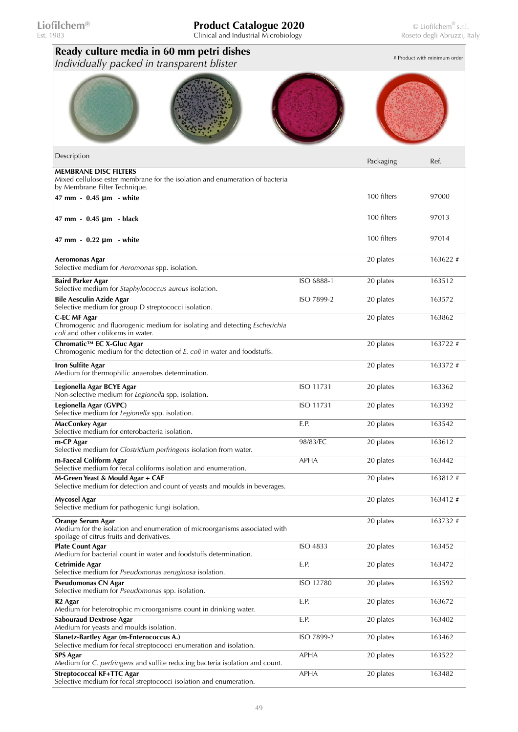| Ready culture media in 60 mm petri dishes<br>Individually packed in transparent blister                                                       |             |             | # Product with minimum order |
|-----------------------------------------------------------------------------------------------------------------------------------------------|-------------|-------------|------------------------------|
|                                                                                                                                               |             |             |                              |
| Description                                                                                                                                   |             | Packaging   | Ref.                         |
| <b>MEMBRANE DISC FILTERS</b><br>Mixed cellulose ester membrane for the isolation and enumeration of bacteria                                  |             |             |                              |
| by Membrane Filter Technique.<br>47 mm - 0.45 µm - white                                                                                      |             | 100 filters | 97000                        |
| 47 mm $-$ 0.45 $\mu$ m $-$ black                                                                                                              |             | 100 filters | 97013                        |
| 47 mm $-0.22 \mu m -$ white                                                                                                                   |             | 100 filters | 97014                        |
| Aeromonas Agar<br>Selective medium for Aeromonas spp. isolation.                                                                              |             | 20 plates   | 163622#                      |
| <b>Baird Parker Agar</b><br>Selective medium for Staphylococcus aureus isolation.                                                             | ISO 6888-1  | 20 plates   | 163512                       |
| <b>Bile Aesculin Azide Agar</b><br>Selective medium for group D streptococci isolation.                                                       | ISO 7899-2  | 20 plates   | 163572                       |
| <b>C-EC MF Agar</b><br>Chromogenic and fluorogenic medium for isolating and detecting Escherichia<br>coli and other coliforms in water.       |             | 20 plates   | 163862                       |
| Chromatic™ EC X-Gluc Agar<br>Chromogenic medium for the detection of E. coli in water and foodstuffs.                                         |             | 20 plates   | 163722#                      |
| Iron Sulfite Agar<br>Medium for thermophilic anaerobes determination.                                                                         |             | 20 plates   | 163372#                      |
| Legionella Agar BCYE Agar<br>Non-selective medium for Legionella spp. isolation.                                                              | ISO 11731   | 20 plates   | 163362                       |
| Legionella Agar (GVPC)<br>Selective medium for Legionella spp. isolation.                                                                     | ISO 11731   | 20 plates   | 163392                       |
| MacConkey Agar<br>Selective medium for enterobacteria isolation.                                                                              | E.P.        | 20 plates   | 163542                       |
| m-CP Agar<br>Selective medium for Clostridium perfringens isolation from water.                                                               | 98/83/EC    | 20 plates   | 163612                       |
| m-Faecal Coliform Agar<br>Selective medium for fecal coliforms isolation and enumeration.                                                     | <b>APHA</b> | 20 plates   | 163442                       |
| M-Green Yeast & Mould Agar + CAF<br>Selective medium for detection and count of yeasts and moulds in beverages.                               |             | 20 plates   | 163812#                      |
| <b>Mycosel Agar</b><br>Selective medium for pathogenic fungi isolation.                                                                       |             | 20 plates   | 163412#                      |
| Orange Serum Agar<br>Medium for the isolation and enumeration of microorganisms associated with<br>spoilage of citrus fruits and derivatives. |             | 20 plates   | 163732#                      |
| <b>Plate Count Agar</b><br>Medium for bacterial count in water and foodstuffs determination.                                                  | ISO 4833    | 20 plates   | 163452                       |
| Cetrimide Agar<br>Selective medium for Pseudomonas aeruginosa isolation.                                                                      | E.P.        | 20 plates   | 163472                       |
| Pseudomonas CN Agar<br>Selective medium for <i>Pseudomonas</i> spp. isolation.                                                                | ISO 12780   | 20 plates   | 163592                       |
| R <sub>2</sub> Agar<br>Medium for heterotrophic microorganisms count in drinking water.                                                       | E.P.        | 20 plates   | 163672                       |
| <b>Sabouraud Dextrose Agar</b><br>Medium for yeasts and moulds isolation.                                                                     | E.P.        | 20 plates   | 163402                       |
| Slanetz-Bartley Agar (m-Enterococcus A.)<br>Selective medium for fecal streptococci enumeration and isolation.                                | ISO 7899-2  | 20 plates   | 163462                       |
| <b>SPS Agar</b><br>Medium for C. perfringens and sulfite reducing bacteria isolation and count.                                               | <b>APHA</b> | 20 plates   | 163522                       |
| Streptococcal KF+TTC Agar<br>Selective medium for fecal streptococci isolation and enumeration.                                               | <b>APHA</b> | 20 plates   | 163482                       |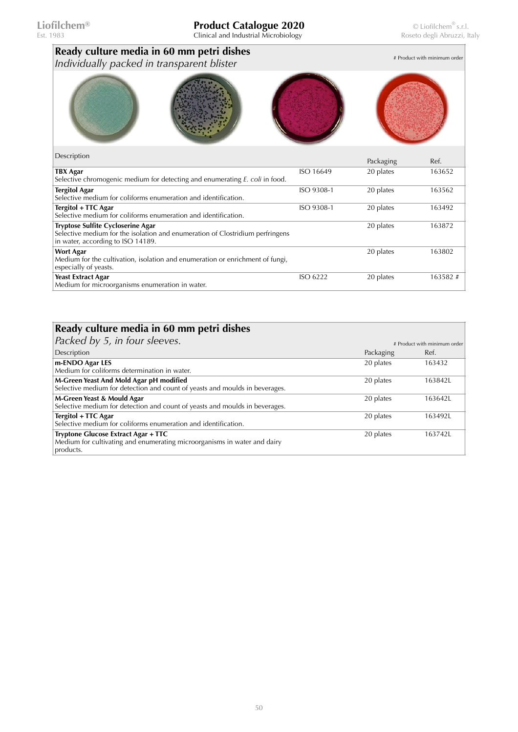| Ready culture media in 60 mm petri dishes<br>Individually packed in transparent blister                                                                 |            |           | # Product with minimum order |
|---------------------------------------------------------------------------------------------------------------------------------------------------------|------------|-----------|------------------------------|
|                                                                                                                                                         |            |           |                              |
| Description                                                                                                                                             |            | Packaging | Ref.                         |
| <b>TBX Agar</b><br>Selective chromogenic medium for detecting and enumerating E. coli in food.                                                          | ISO 16649  | 20 plates | 163652                       |
| <b>Tergitol Agar</b><br>Selective medium for coliforms enumeration and identification.                                                                  | ISO 9308-1 | 20 plates | 163562                       |
| Tergitol + TTC Agar<br>Selective medium for coliforms enumeration and identification.                                                                   | ISO 9308-1 | 20 plates | 163492                       |
| Tryptose Sulfite Cycloserine Agar<br>Selective medium for the isolation and enumeration of Clostridium perfringens<br>in water, according to ISO 14189. |            | 20 plates | 163872                       |
| <b>Wort Agar</b><br>Medium for the cultivation, isolation and enumeration or enrichment of fungi,<br>especially of yeasts.                              |            | 20 plates | 163802                       |
| <b>Yeast Extract Agar</b><br>Medium for microorganisms enumeration in water.                                                                            | ISO 6222   | 20 plates | 163582#                      |

| Ready culture media in 60 mm petri dishes                                                                                    |           |                              |
|------------------------------------------------------------------------------------------------------------------------------|-----------|------------------------------|
| Packed by 5, in four sleeves.                                                                                                |           | # Product with minimum order |
| Description                                                                                                                  | Packaging | Ref.                         |
| m-ENDO Agar LES<br>Medium for coliforms determination in water.                                                              | 20 plates | 163432                       |
| M-Green Yeast And Mold Agar pH modified<br>Selective medium for detection and count of yeasts and moulds in beverages.       | 20 plates | 163842L                      |
| M-Green Yeast & Mould Agar<br>Selective medium for detection and count of yeasts and moulds in beverages.                    | 20 plates | 163642L                      |
| Tergitol + TTC Agar<br>Selective medium for coliforms enumeration and identification.                                        | 20 plates | 163492L                      |
| Tryptone Glucose Extract Agar + TTC<br>Medium for cultivating and enumerating microorganisms in water and dairy<br>products. | 20 plates | 1637421                      |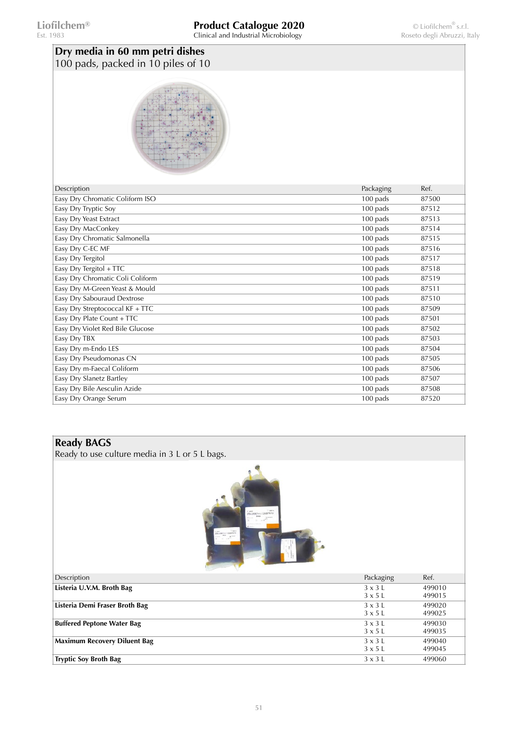| Dry media in 60 mm petri dishes<br>100 pads, packed in 10 piles of 10 |           |       |
|-----------------------------------------------------------------------|-----------|-------|
|                                                                       |           |       |
| Description                                                           | Packaging | Ref.  |
| Easy Dry Chromatic Coliform ISO                                       | 100 pads  | 87500 |
| Easy Dry Tryptic Soy                                                  | 100 pads  | 87512 |
| Easy Dry Yeast Extract                                                | 100 pads  | 87513 |
| Easy Dry MacConkey                                                    | 100 pads  | 87514 |
| Easy Dry Chromatic Salmonella                                         | 100 pads  | 87515 |
| Easy Dry C-EC MF                                                      | 100 pads  | 87516 |
| Easy Dry Tergitol                                                     | 100 pads  | 87517 |
| Easy Dry Tergitol + TTC                                               | 100 pads  | 87518 |
| Easy Dry Chromatic Coli Coliform                                      | 100 pads  | 87519 |
| Easy Dry M-Green Yeast & Mould                                        | 100 pads  | 87511 |
| Easy Dry Sabouraud Dextrose                                           | 100 pads  | 87510 |
| Easy Dry Streptococcal KF + TTC                                       | 100 pads  | 87509 |
| Easy Dry Plate Count + TTC                                            | 100 pads  | 87501 |
| Easy Dry Violet Red Bile Glucose                                      | 100 pads  | 87502 |
| Easy Dry TBX                                                          | 100 pads  | 87503 |
| Easy Dry m-Endo LES                                                   | 100 pads  | 87504 |
| Easy Dry Pseudomonas CN                                               | 100 pads  | 87505 |
| Easy Dry m-Faecal Coliform                                            | 100 pads  | 87506 |
| Easy Dry Slanetz Bartley                                              | 100 pads  | 87507 |
| Easy Dry Bile Aesculin Azide                                          | 100 pads  | 87508 |
| Easy Dry Orange Serum                                                 | 100 pads  | 87520 |
|                                                                       |           |       |

#### **Ready BAGS**

Ready to use culture media in 3 L or 5 L bags.



| <b>COLLECTION</b>                   |                |        |
|-------------------------------------|----------------|--------|
| Description                         | Packaging      | Ref.   |
| Listeria U.V.M. Broth Bag           | $3 \times 3$ L | 499010 |
|                                     | $3 \times 5$ L | 499015 |
| Listeria Demi Fraser Broth Bag      | $3 \times 3$ L | 499020 |
|                                     | $3 \times 5$ L | 499025 |
| <b>Buffered Peptone Water Bag</b>   | $3 \times 3$ L | 499030 |
|                                     | $3 \times 5$ L | 499035 |
| <b>Maximum Recovery Diluent Bag</b> | $3 \times 3$ L | 499040 |
|                                     | $3 \times 5$ L | 499045 |
| <b>Tryptic Soy Broth Bag</b>        | $3 \times 3$ L | 499060 |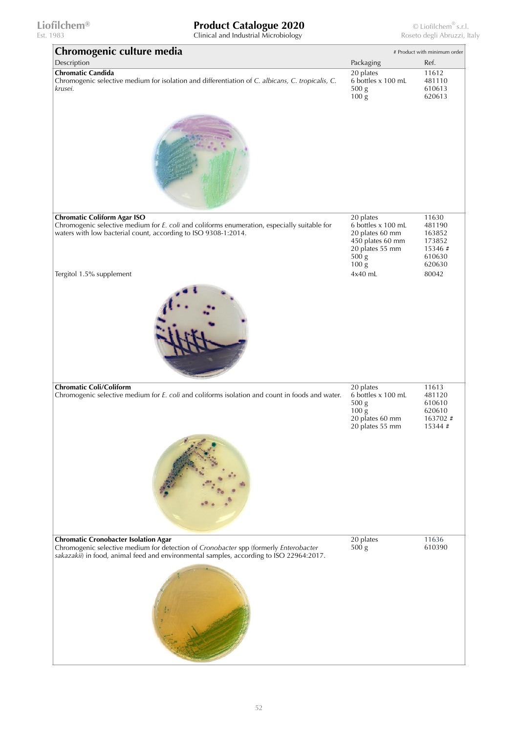| Chromogenic culture media                                                                                                                                                                                                      |                                                                                                                                               | # Product with minimum order                                      |
|--------------------------------------------------------------------------------------------------------------------------------------------------------------------------------------------------------------------------------|-----------------------------------------------------------------------------------------------------------------------------------------------|-------------------------------------------------------------------|
| Description                                                                                                                                                                                                                    | Packaging                                                                                                                                     | Ref.                                                              |
| <b>Chromatic Candida</b><br>Chromogenic selective medium for isolation and differentiation of C. albicans, C. tropicalis, C.<br>krusei.                                                                                        | 20 plates<br>6 bottles x 100 mL<br>500 g<br>$100\,\mathrm{g}$                                                                                 | 11612<br>481110<br>610613<br>620613                               |
|                                                                                                                                                                                                                                |                                                                                                                                               |                                                                   |
| <b>Chromatic Coliform Agar ISO</b><br>Chromogenic selective medium for E. coli and coliforms enumeration, especially suitable for<br>waters with low bacterial count, according to ISO 9308-1:2014.                            | 20 plates<br>6 bottles x 100 mL<br>20 plates 60 mm<br>450 plates 60 mm<br>20 plates 55 mm<br>500 <sub>g</sub><br>$100\,\mathrm{g}$<br>4x40 mL | 11630<br>481190<br>163852<br>173852<br>15346#<br>610630<br>620630 |
| Tergitol 1.5% supplement                                                                                                                                                                                                       |                                                                                                                                               | 80042                                                             |
| <b>Chromatic Coli/Coliform</b><br>Chromogenic selective medium for E. coli and coliforms isolation and count in foods and water.                                                                                               | 20 plates<br>6 bottles x 100 mL<br>500 g<br>$100\,\mathrm{g}$<br>20 plates 60 mm<br>20 plates 55 mm                                           | 11613<br>481120<br>610610<br>620610<br>163702#<br>15344#          |
|                                                                                                                                                                                                                                |                                                                                                                                               |                                                                   |
| <b>Chromatic Cronobacter Isolation Agar</b><br>Chromogenic selective medium for detection of Cronobacter spp (formerly Enterobacter<br>sakazakii) in food, animal feed and environmental samples, according to ISO 22964:2017. | 20 plates<br>500 g                                                                                                                            | 11636<br>610390                                                   |
|                                                                                                                                                                                                                                |                                                                                                                                               |                                                                   |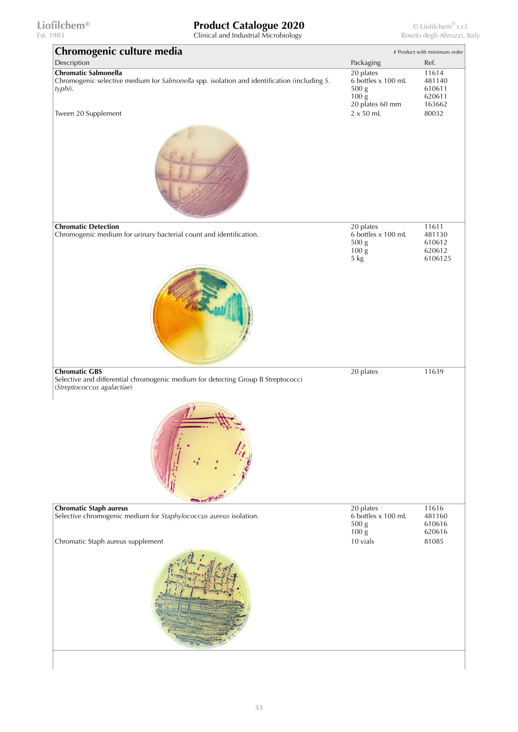| Chromogenic culture media                                                                                                               | # Product with minimum order                                                     |                                                |
|-----------------------------------------------------------------------------------------------------------------------------------------|----------------------------------------------------------------------------------|------------------------------------------------|
| Description                                                                                                                             | Packaging                                                                        | Ref.                                           |
| <b>Chromatic Salmonella</b><br>Chromogenic selective medium for Salmonella spp. isolation and identification (including S.<br>typhi).   | 20 plates<br>6 bottles x 100 mL<br>500 g<br>$100\,\mathrm{g}$<br>20 plates 60 mm | 11614<br>481140<br>610611<br>620611<br>163662  |
| Tween 20 Supplement                                                                                                                     | $2 \times 50$ mL                                                                 | 80032                                          |
| <b>Chromatic Detection</b><br>Chromogenic medium for urinary bacterial count and identification.                                        | 20 plates<br>6 bottles x 100 mL<br>500 g<br>$100\,\mathrm{g}$<br>5 kg            | 11611<br>481130<br>610612<br>620612<br>6106125 |
|                                                                                                                                         |                                                                                  |                                                |
| <b>Chromatic GBS</b><br>Selective and differential chromogenic medium for detecting Group B Streptococci<br>(Streptococcus agalactiae)  | 20 plates                                                                        | 11639                                          |
|                                                                                                                                         |                                                                                  |                                                |
| <b>Chromatic Staph aureus</b><br>Selective chromogenic medium for Staphylococcus aureus isolation.<br>Chromatic Staph aureus supplement | 20 plates<br>6 bottles x 100 mL<br>500 g<br>$100\,\mathrm{g}$<br>10 vials        | 11616<br>481160<br>610616<br>620616<br>81085   |
|                                                                                                                                         |                                                                                  |                                                |
|                                                                                                                                         |                                                                                  |                                                |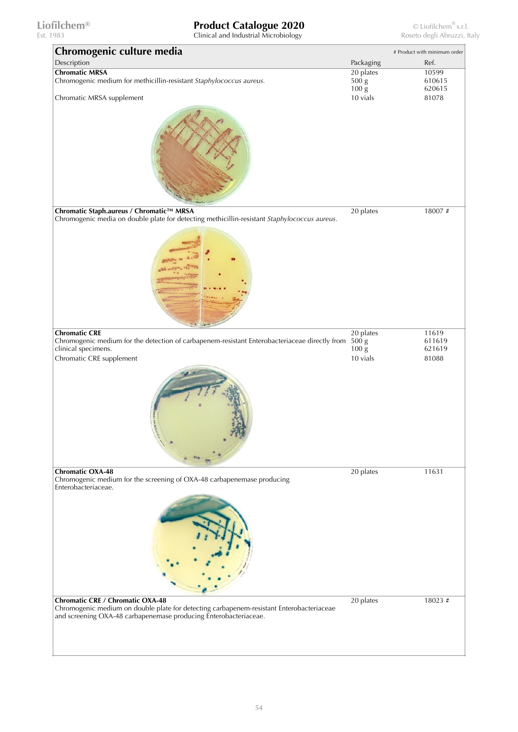# **Liofilchem® Product Catalogue 2020** © Liofilchem® s.r.l.<br>
Clinical and Industrial Microbiology **Clinical and Industrial Microbiology** Roseto degli Abruzzi, Italy

Clinical and Industrial Microbiology

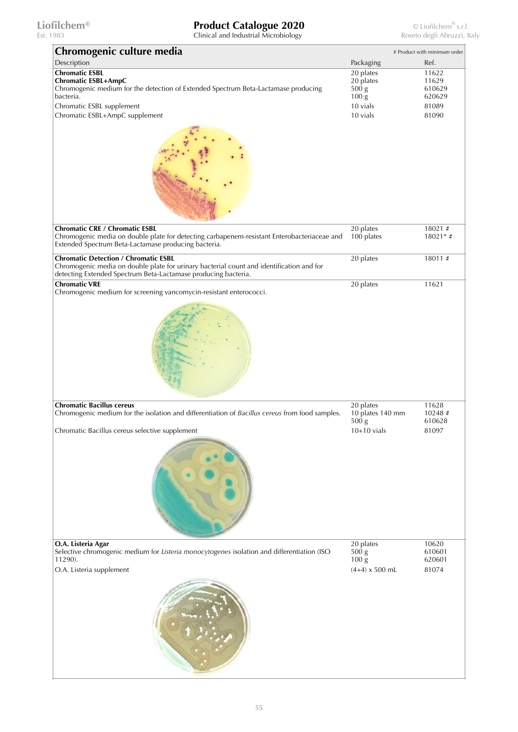| Chromogenic culture media                                                                                                                                                                                             |                                                                                           | # Product with minimum order                         |
|-----------------------------------------------------------------------------------------------------------------------------------------------------------------------------------------------------------------------|-------------------------------------------------------------------------------------------|------------------------------------------------------|
| Description                                                                                                                                                                                                           | Packaging                                                                                 | Ref.                                                 |
| <b>Chromatic ESBL</b><br><b>Chromatic ESBL+AmpC</b><br>Chromogenic medium for the detection of Extended Spectrum Beta-Lactamase producing<br>bacteria.<br>Chromatic ESBL supplement<br>Chromatic ESBL+AmpC supplement | $20$ plates<br>20 plates<br>500 <sub>g</sub><br>$100\,\mathrm{g}$<br>10 vials<br>10 vials | 11622<br>11629<br>610629<br>620629<br>81089<br>81090 |
| <b>Chromatic CRE / Chromatic ESBL</b><br>Chromogenic media on double plate for detecting carbapenem-resistant Enterobacteriaceae and                                                                                  | 20 plates<br>100 plates                                                                   | 18021#<br>$18021*$ #                                 |
| Extended Spectrum Beta-Lactamase producing bacteria.                                                                                                                                                                  |                                                                                           |                                                      |
| <b>Chromatic Detection / Chromatic ESBL</b><br>Chromogenic media on double plate for urinary bacterial count and identification and for<br>detecting Extended Spectrum Beta-Lactamase producing bacteria.             | 20 plates                                                                                 | 18011#                                               |
| <b>Chromatic VRE</b><br>Chromogenic medium for screening vancomycin-resistant enterococci.                                                                                                                            | 20 plates                                                                                 | 11621                                                |
| <b>Chromatic Bacillus cereus</b><br>Chromogenic medium for the isolation and differentiation of Bacillus cereus from food samples.<br>Chromatic Bacillus cereus selective supplement                                  | 20 plates<br>10 plates 140 mm<br>500 g<br>$10+10$ vials                                   | 11628<br>10248#<br>610628<br>81097                   |
| O.A. Listeria Agar<br>Selective chromogenic medium for Listeria monocytogenes isolation and differentiation (ISO<br>11290).                                                                                           | 20 plates<br>500 <sub>g</sub><br>$100\,\mathrm{g}$                                        | 10620<br>610601<br>620601                            |
| O.A. Listeria supplement                                                                                                                                                                                              | $(4+4) \times 500$ mL                                                                     | 81074                                                |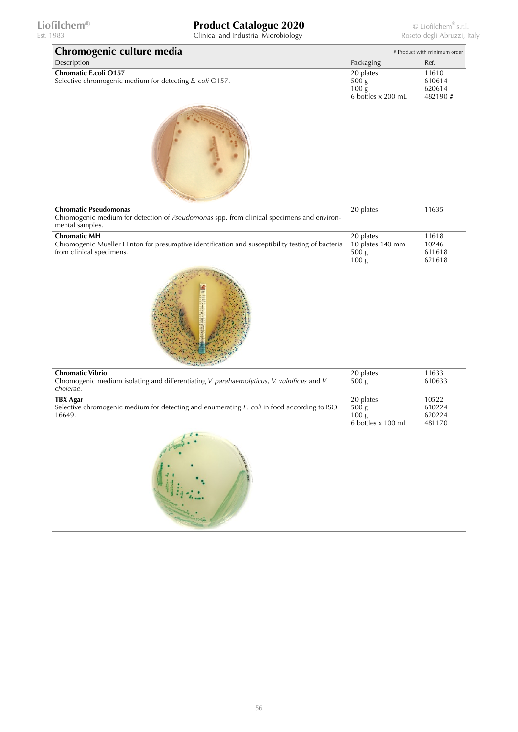Est. 1983 Clinical and Industrial Microbiology Roseto degli Abruzzi, Italy

**Chromogenic culture media**  $*$  Product with minimum order

| Description                                                                                                                                         | Packaging                                                                | Ref.                                  |
|-----------------------------------------------------------------------------------------------------------------------------------------------------|--------------------------------------------------------------------------|---------------------------------------|
| <b>Chromatic E.coli O157</b><br>Selective chromogenic medium for detecting E. coli O157.                                                            | 20 plates<br>500 <sub>g</sub><br>$100\,\mathrm{g}$<br>6 bottles x 200 mL | 11610<br>610614<br>620614<br>482190 # |
|                                                                                                                                                     |                                                                          |                                       |
| <b>Chromatic Pseudomonas</b><br>Chromogenic medium for detection of Pseudomonas spp. from clinical specimens and environ-<br>mental samples.        | 20 plates                                                                | 11635                                 |
| <b>Chromatic MH</b><br>Chromogenic Mueller Hinton for presumptive identification and susceptibility testing of bacteria<br>from clinical specimens. | 20 plates<br>10 plates 140 mm<br>500 g<br>$100\,\mathrm{g}$              | 11618<br>10246<br>611618<br>621618    |
|                                                                                                                                                     |                                                                          |                                       |
| <b>Chromatic Vibrio</b><br>Chromogenic medium isolating and differentiating V. parahaemolyticus, V. vulnificus and V.<br>cholerae.                  | 20 plates<br>500 g                                                       | 11633<br>610633                       |
| <b>TBX Agar</b><br>Selective chromogenic medium for detecting and enumerating E. coli in food according to ISO<br>16649.                            | 20 plates<br>500 g<br>$100\,\mathrm{g}$<br>6 bottles x 100 mL            | 10522<br>610224<br>620224<br>481170   |
|                                                                                                                                                     |                                                                          |                                       |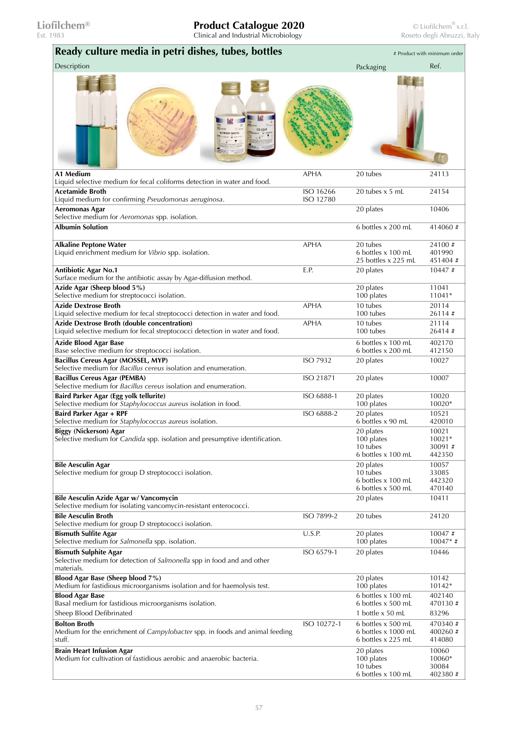| Ready culture media in petri dishes, tubes, bottles                                                                               |             | # Product with minimum order                                      |                                      |
|-----------------------------------------------------------------------------------------------------------------------------------|-------------|-------------------------------------------------------------------|--------------------------------------|
| Description                                                                                                                       |             | Packaging                                                         | Ref.                                 |
|                                                                                                                                   |             |                                                                   |                                      |
| A1 Medium                                                                                                                         | <b>APHA</b> | 20 tubes                                                          | 24113                                |
| Liquid selective medium for fecal coliforms detection in water and food.<br><b>Acetamide Broth</b>                                | ISO 16266   | 20 tubes x 5 mL                                                   | 24154                                |
| Liquid medium for confirming Pseudomonas aeruginosa.                                                                              | ISO 12780   |                                                                   |                                      |
| <b>Aeromonas Agar</b><br>Selective medium for Aeromonas spp. isolation.                                                           |             | 20 plates                                                         | 10406                                |
| <b>Albumin Solution</b>                                                                                                           |             | 6 bottles x 200 mL                                                | 414060#                              |
| <b>Alkaline Peptone Water</b><br>Liquid enrichment medium for Vibrio spp. isolation.                                              | <b>APHA</b> | 20 tubes<br>6 bottles x 100 mL<br>25 bottles x 225 mL             | 24100#<br>401990<br>451404 #         |
| <b>Antibiotic Agar No.1</b><br>Surface medium for the antibiotic assay by Agar-diffusion method.                                  | E.P.        | 20 plates                                                         | 10447#                               |
| Azide Agar (Sheep blood 5%)                                                                                                       |             | 20 plates                                                         | 11041<br>11041*                      |
| Selective medium for streptococci isolation.<br><b>Azide Dextrose Broth</b>                                                       | <b>APHA</b> | 100 plates<br>10 tubes                                            | 20114                                |
| Liquid selective medium for fecal streptococci detection in water and food.<br><b>Azide Dextrose Broth (double concentration)</b> | <b>APHA</b> | 100 tubes<br>10 tubes                                             | 26114#<br>21114                      |
| Liquid selective medium for fecal streptococci detection in water and food.                                                       |             | 100 tubes                                                         | 26414#                               |
| <b>Azide Blood Agar Base</b><br>Base selective medium for streptococci isolation.                                                 |             | 6 bottles x 100 mL<br>6 bottles x 200 mL                          | 402170<br>412150                     |
| Bacillus Cereus Agar (MOSSEL, MYP)<br>Selective medium for <i>Bacillus cereus</i> isolation and enumeration.                      | ISO 7932    | 20 plates                                                         | 10027                                |
| <b>Bacillus Cereus Agar (PEMBA)</b><br>Selective medium for <i>Bacillus cereus</i> isolation and enumeration.                     | ISO 21871   | 20 plates                                                         | 10007                                |
| Baird Parker Agar (Egg yolk tellurite)<br>Selective medium for Staphylococcus aureus isolation in food.                           | ISO 6888-1  | 20 plates<br>100 plates                                           | 10020<br>10020*                      |
| Baird Parker Agar + RPF<br>Selective medium for Staphylococcus aureus isolation.                                                  | ISO 6888-2  | 20 plates<br>6 bottles x 90 mL                                    | 10521<br>420010                      |
| Biggy (Nickerson) Agar<br>Selective medium for Candida spp. isolation and presumptive identification.                             |             | 20 plates<br>100 plates<br>10 tubes<br>6 bottles x 100 mL         | 10021<br>10021*<br>30091#<br>442350  |
| <b>Bile Aesculin Agar</b><br>Selective medium for group D streptococci isolation.                                                 |             | 20 plates<br>10 tubes<br>6 bottles x 100 mL<br>6 bottles x 500 mL | 10057<br>33085<br>442320<br>470140   |
| Bile Aesculin Azide Agar w/ Vancomycin<br>Selective medium for isolating vancomycin-resistant enterococci.                        |             | 20 plates                                                         | 10411                                |
| <b>Bile Aesculin Broth</b><br>Selective medium for group D streptococci isolation.                                                | ISO 7899-2  | 20 tubes                                                          | 24120                                |
| <b>Bismuth Sulfite Agar</b><br>Selective medium for Salmonella spp. isolation.                                                    | U.S.P.      | 20 plates<br>100 plates                                           | $10047 \#$<br>$10047*$ #             |
| <b>Bismuth Sulphite Agar</b><br>Selective medium for detection of Salmonella spp in food and and other<br>materials.              | ISO 6579-1  | 20 plates                                                         | 10446                                |
| Blood Agar Base (Sheep blood 7%)<br>Medium for fastidious microorganisms isolation and for haemolysis test.                       |             | 20 plates<br>100 plates                                           | 10142<br>10142*                      |
| <b>Blood Agar Base</b><br>Basal medium for fastidious microorganisms isolation.                                                   |             | 6 bottles x 100 mL<br>6 bottles x 500 mL                          | 402140<br>470130#                    |
| Sheep Blood Defibrinated<br><b>Bolton Broth</b>                                                                                   | ISO 10272-1 | 1 bottle x 50 mL<br>6 bottles x 500 mL                            | 83296<br>470340#                     |
| Medium for the enrichment of <i>Campylobacter</i> spp. in foods and animal feeding<br>stuff.                                      |             | 6 bottles x 1000 mL<br>6 bottles x 225 mL                         | 400260#<br>414080                    |
| <b>Brain Heart Infusion Agar</b><br>Medium for cultivation of fastidious aerobic and anaerobic bacteria.                          |             | 20 plates<br>100 plates<br>10 tubes<br>6 bottles x 100 mL         | 10060<br>10060*<br>30084<br>402380 # |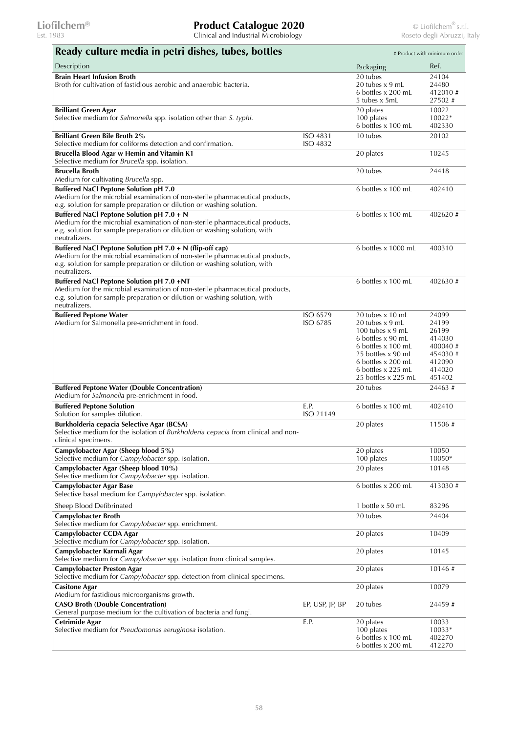| Ready culture media in petri dishes, tubes, bottles                                                                                                                                                                                     |                             |                                                                                                                                                                                               | # Product with minimum order                                                          |
|-----------------------------------------------------------------------------------------------------------------------------------------------------------------------------------------------------------------------------------------|-----------------------------|-----------------------------------------------------------------------------------------------------------------------------------------------------------------------------------------------|---------------------------------------------------------------------------------------|
| Description                                                                                                                                                                                                                             |                             | Packaging                                                                                                                                                                                     | Ref.                                                                                  |
| <b>Brain Heart Infusion Broth</b><br>Broth for cultivation of fastidious aerobic and anaerobic bacteria.                                                                                                                                |                             | 20 tubes<br>20 tubes x 9 mL<br>6 bottles x 200 mL<br>5 tubes x 5mL                                                                                                                            | 24104<br>24480<br>412010#<br>27502#                                                   |
| <b>Brilliant Green Agar</b><br>Selective medium for Salmonella spp. isolation other than S. typhi.                                                                                                                                      |                             | 20 plates<br>100 plates<br>6 bottles x 100 mL                                                                                                                                                 | 10022<br>10022*<br>402330                                                             |
| <b>Brilliant Green Bile Broth 2%</b><br>Selective medium for coliforms detection and confirmation.                                                                                                                                      | <b>ISO 4831</b><br>ISO 4832 | 10 tubes                                                                                                                                                                                      | 20102                                                                                 |
| Brucella Blood Agar w Hemin and Vitamin K1<br>Selective medium for Brucella spp. isolation.                                                                                                                                             |                             | 20 plates                                                                                                                                                                                     | 10245                                                                                 |
| <b>Brucella Broth</b><br>Medium for cultivating Brucella spp.                                                                                                                                                                           |                             | 20 tubes                                                                                                                                                                                      | 24418                                                                                 |
| <b>Buffered NaCl Peptone Solution pH 7.0</b><br>Medium for the microbial examination of non-sterile pharmaceutical products,<br>e.g. solution for sample preparation or dilution or washing solution.                                   |                             | 6 bottles x 100 mL                                                                                                                                                                            | 402410                                                                                |
| Buffered NaCl Peptone Solution pH 7.0 + N<br>Medium for the microbial examination of non-sterile pharmaceutical products,<br>e.g. solution for sample preparation or dilution or washing solution, with<br>neutralizers.                |                             | 6 bottles x 100 mL                                                                                                                                                                            | 402620#                                                                               |
| Buffered NaCl Peptone Solution pH 7.0 + N (flip-off cap)<br>Medium for the microbial examination of non-sterile pharmaceutical products,<br>e.g. solution for sample preparation or dilution or washing solution, with<br>neutralizers. |                             | 6 bottles x 1000 mL                                                                                                                                                                           | 400310                                                                                |
| Buffered NaCl Peptone Solution pH 7.0 +NT<br>Medium for the microbial examination of non-sterile pharmaceutical products,<br>e.g. solution for sample preparation or dilution or washing solution, with<br>neutralizers.                |                             | 6 bottles x 100 mL                                                                                                                                                                            | 402630#                                                                               |
| <b>Buffered Peptone Water</b><br>Medium for Salmonella pre-enrichment in food.                                                                                                                                                          | ISO 6579<br>ISO 6785        | 20 tubes x 10 mL<br>20 tubes x 9 mL<br>100 tubes $x$ 9 mL<br>6 bottles x 90 mL<br>6 bottles x 100 mL<br>25 bottles x 90 mL<br>6 bottles x 200 mL<br>6 bottles x 225 mL<br>25 bottles x 225 mL | 24099<br>24199<br>26199<br>414030<br>400040#<br>454030#<br>412090<br>414020<br>451402 |
| <b>Buffered Peptone Water (Double Concentration)</b><br>Medium for Salmonella pre-enrichment in food.                                                                                                                                   |                             | 20 tubes                                                                                                                                                                                      | 24463 #                                                                               |
| <b>Buffered Peptone Solution</b><br>Solution for samples dilution.                                                                                                                                                                      | E.P.<br>ISO 21149           | 6 bottles x 100 mL                                                                                                                                                                            | 402410                                                                                |
| <b>Burkholderia cepacia Selective Agar (BCSA)</b><br>Selective medium for the isolation of Burkholderia cepacia from clinical and non-<br>clinical specimens.                                                                           |                             | 20 plates                                                                                                                                                                                     | 11506#                                                                                |
| Campylobacter Agar (Sheep blood 5%)<br>Selective medium for Campylobacter spp. isolation.                                                                                                                                               |                             | 20 plates<br>100 plates                                                                                                                                                                       | 10050<br>10050*                                                                       |
| Campylobacter Agar (Sheep blood 10%)<br>Selective medium for Campylobacter spp. isolation.                                                                                                                                              |                             | 20 plates                                                                                                                                                                                     | 10148                                                                                 |
| <b>Campylobacter Agar Base</b><br>Selective basal medium for Campylobacter spp. isolation.                                                                                                                                              |                             | 6 bottles x 200 mL                                                                                                                                                                            | 413030#                                                                               |
| Sheep Blood Defibrinated<br><b>Campylobacter Broth</b>                                                                                                                                                                                  |                             | 1 bottle x 50 mL<br>20 tubes                                                                                                                                                                  | 83296<br>24404                                                                        |
| Selective medium for Campylobacter spp. enrichment.<br>Campylobacter CCDA Agar                                                                                                                                                          |                             | 20 plates                                                                                                                                                                                     | 10409                                                                                 |
| Selective medium for Campylobacter spp. isolation.                                                                                                                                                                                      |                             |                                                                                                                                                                                               |                                                                                       |
| Campylobacter Karmali Agar<br>Selective medium for Campylobacter spp. isolation from clinical samples.                                                                                                                                  |                             | 20 plates                                                                                                                                                                                     | 10145                                                                                 |
| Campylobacter Preston Agar<br>Selective medium for Campylobacter spp. detection from clinical specimens.                                                                                                                                |                             | 20 plates                                                                                                                                                                                     | 10146#                                                                                |
| <b>Casitone Agar</b><br>Medium for fastidious microorganisms growth.                                                                                                                                                                    |                             | 20 plates                                                                                                                                                                                     | 10079                                                                                 |
| <b>CASO Broth (Double Concentration)</b><br>General purpose medium for the cultivation of bacteria and fungi.                                                                                                                           | EP, USP, JP, BP             | 20 tubes                                                                                                                                                                                      | 24459#                                                                                |
| Cetrimide Agar<br>Selective medium for <i>Pseudomonas aeruginosa</i> isolation.                                                                                                                                                         | E.P.                        | 20 plates<br>100 plates<br>6 bottles x 100 mL<br>6 bottles x 200 mL                                                                                                                           | 10033<br>10033*<br>402270<br>412270                                                   |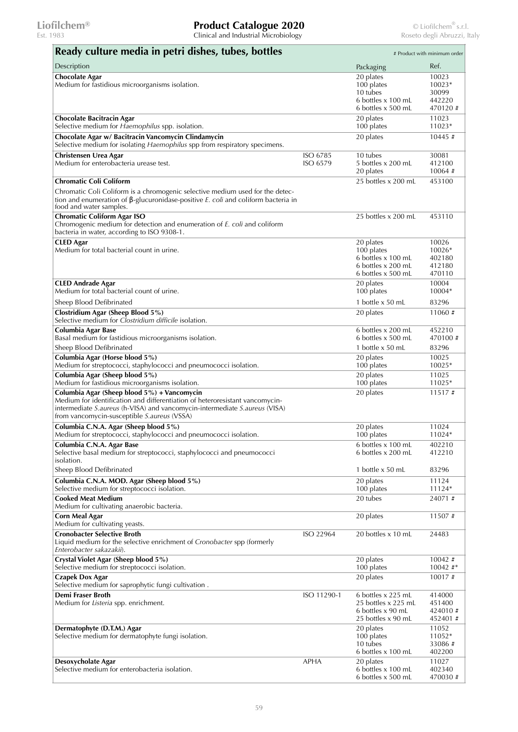| Ready culture media in petri dishes, tubes, bottles                                                                                                                                                                                                      |                      |                                                                                           | # Product with minimum order                  |
|----------------------------------------------------------------------------------------------------------------------------------------------------------------------------------------------------------------------------------------------------------|----------------------|-------------------------------------------------------------------------------------------|-----------------------------------------------|
| Description                                                                                                                                                                                                                                              |                      | Packaging                                                                                 | Ref.                                          |
| <b>Chocolate Agar</b><br>Medium for fastidious microorganisms isolation.                                                                                                                                                                                 |                      | 20 plates<br>100 plates<br>10 tubes<br>6 bottles x 100 mL                                 | 10023<br>10023*<br>30099<br>442220            |
| <b>Chocolate Bacitracin Agar</b><br>Selective medium for Haemophilus spp. isolation.                                                                                                                                                                     |                      | 6 bottles x 500 mL<br>20 plates<br>100 plates                                             | 470120 #<br>11023<br>11023*                   |
| Chocolate Agar w/ Bacitracin Vancomycin Clindamycin<br>Selective medium for isolating Haemophilus spp from respiratory specimens.                                                                                                                        |                      | 20 plates                                                                                 | 10445#                                        |
| Christensen Urea Agar<br>Medium for enterobacteria urease test.                                                                                                                                                                                          | ISO 6785<br>ISO 6579 | 10 tubes<br>5 bottles x 200 mL<br>20 plates                                               | 30081<br>412100<br>$10064 \#$                 |
| <b>Chromatic Coli Coliform</b>                                                                                                                                                                                                                           |                      | 25 bottles x 200 mL                                                                       | 453100                                        |
| Chromatic Coli Coliform is a chromogenic selective medium used for the detec-<br>tion and enumeration of $\beta$ -glucuronidase-positive E. coli and coliform bacteria in<br>food and water samples.                                                     |                      |                                                                                           |                                               |
| <b>Chromatic Coliform Agar ISO</b><br>Chromogenic medium for detection and enumeration of E. coli and coliform<br>bacteria in water, according to ISO 9308-1.                                                                                            |                      | 25 bottles x 200 mL                                                                       | 453110                                        |
| <b>CLED</b> Agar<br>Medium for total bacterial count in urine.                                                                                                                                                                                           |                      | 20 plates<br>100 plates<br>6 bottles x 100 mL<br>6 bottles x 200 mL<br>6 bottles x 500 mL | 10026<br>10026*<br>402180<br>412180<br>470110 |
| <b>CLED Andrade Agar</b><br>Medium for total bacterial count of urine.                                                                                                                                                                                   |                      | 20 plates<br>100 plates                                                                   | 10004<br>10004*                               |
| Sheep Blood Defibrinated<br>Clostridium Agar (Sheep Blood 5%)                                                                                                                                                                                            |                      | 1 bottle x 50 mL<br>20 plates                                                             | 83296<br>11060#                               |
| Selective medium for Clostridium difficile isolation.<br>Columbia Agar Base<br>Basal medium for fastidious microorganisms isolation.                                                                                                                     |                      | 6 bottles x 200 mL<br>6 bottles x 500 mL                                                  | 452210<br>470100#                             |
| Sheep Blood Defibrinated                                                                                                                                                                                                                                 |                      | 1 bottle x 50 mL                                                                          | 83296                                         |
| Columbia Agar (Horse blood 5%)<br>Medium for streptococci, staphylococci and pneumococci isolation.                                                                                                                                                      |                      | 20 plates<br>100 plates                                                                   | 10025<br>10025*                               |
| Columbia Agar (Sheep blood 5%)<br>Medium for fastidious microorganisms isolation.                                                                                                                                                                        |                      | 20 plates<br>100 plates                                                                   | 11025<br>11025*                               |
| Columbia Agar (Sheep blood 5%) + Vancomycin<br>Medium for identification and differentiation of heteroresistant vancomycin-<br>intermediate S.aureus (h-VISA) and vancomycin-intermediate S.aureus (VISA)<br>from vancomycin-susceptible S.aureus (VSSA) |                      | 20 plates                                                                                 | 11517#                                        |
| Columbia C.N.A. Agar (Sheep blood 5%)<br>Medium for streptococci, staphylococci and pneumococci isolation.                                                                                                                                               |                      | 20 plates<br>100 plates                                                                   | 11024<br>11024*                               |
| Columbia C.N.A. Agar Base<br>Selective basal medium for streptococci, staphylococci and pneumococci<br>isolation.                                                                                                                                        |                      | 6 bottles x 100 mL<br>6 bottles x 200 mL                                                  | 402210<br>412210                              |
| Sheep Blood Defibrinated                                                                                                                                                                                                                                 |                      | 1 bottle x 50 mL                                                                          | 83296                                         |
| Columbia C.N.A. MOD. Agar (Sheep blood 5%)<br>Selective medium for streptococci isolation.<br><b>Cooked Meat Medium</b>                                                                                                                                  |                      | 20 plates<br>100 plates<br>20 tubes                                                       | 11124<br>11124*                               |
| Medium for cultivating anaerobic bacteria.                                                                                                                                                                                                               |                      |                                                                                           | 24071#                                        |
| <b>Corn Meal Agar</b><br>Medium for cultivating yeasts.                                                                                                                                                                                                  |                      | 20 plates                                                                                 | 11507#                                        |
| <b>Cronobacter Selective Broth</b><br>Liquid medium for the selective enrichment of Cronobacter spp (formerly<br>Enterobacter sakazakii).                                                                                                                | ISO 22964            | 20 bottles x 10 mL                                                                        | 24483                                         |
| Crystal Violet Agar (Sheep blood 5%)<br>Selective medium for streptococci isolation.                                                                                                                                                                     |                      | 20 plates<br>100 plates                                                                   | $10042 \neq$<br>$10042$ #*                    |
| <b>Czapek Dox Agar</b><br>Selective medium for saprophytic fungi cultivation.                                                                                                                                                                            |                      | 20 plates                                                                                 | 10017#                                        |
| <b>Demi Fraser Broth</b><br>Medium for Listeria spp. enrichment.                                                                                                                                                                                         | ISO 11290-1          | 6 bottles x 225 mL<br>25 bottles x 225 mL<br>6 bottles x 90 mL<br>25 bottles x 90 mL      | 414000<br>451400<br>424010#<br>452401#        |
| Dermatophyte (D.T.M.) Agar<br>Selective medium for dermatophyte fungi isolation.                                                                                                                                                                         |                      | 20 plates<br>100 plates<br>10 tubes<br>6 bottles x 100 mL                                 | 11052<br>11052*<br>33086#<br>402200           |
| Desoxycholate Agar<br>Selective medium for enterobacteria isolation.                                                                                                                                                                                     | <b>APHA</b>          | 20 plates<br>6 bottles x 100 mL<br>6 bottles x 500 mL                                     | 11027<br>402340<br>470030#                    |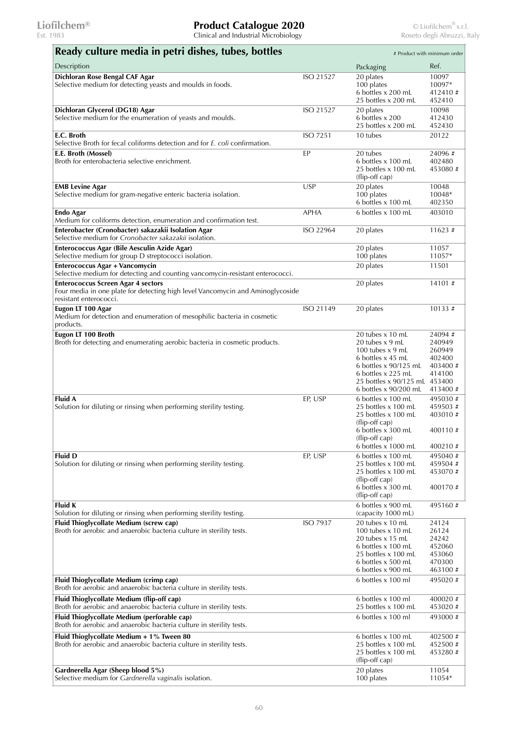| Ready culture media in petri dishes, tubes, bottles                                                                                                   |                 |                                                                                                                                                                                         | # Product with minimum order                                          |
|-------------------------------------------------------------------------------------------------------------------------------------------------------|-----------------|-----------------------------------------------------------------------------------------------------------------------------------------------------------------------------------------|-----------------------------------------------------------------------|
| Description                                                                                                                                           |                 | Packaging                                                                                                                                                                               | Ref.                                                                  |
| Dichloran Rose Bengal CAF Agar<br>Selective medium for detecting yeasts and moulds in foods.                                                          | ISO 21527       | 20 plates<br>100 plates<br>6 bottles x 200 mL<br>25 bottles x 200 mL                                                                                                                    | 10097<br>10097*<br>412410#<br>452410                                  |
| Dichloran Glycerol (DG18) Agar<br>Selective medium for the enumeration of yeasts and moulds.                                                          | ISO 21527       | 20 plates<br>6 bottles x 200<br>25 bottles x 200 mL                                                                                                                                     | 10098<br>412430<br>452430                                             |
| E.C. Broth<br>Selective Broth for fecal coliforms detection and for E. coli confirmation.                                                             | <b>ISO 7251</b> | 10 tubes                                                                                                                                                                                | 20122                                                                 |
| E.E. Broth (Mossel)<br>Broth for enterobacteria selective enrichment.                                                                                 | EP              | 20 tubes<br>6 bottles x 100 mL<br>25 bottles x 100 mL<br>(flip-off cap)                                                                                                                 | 24096#<br>402480<br>453080 #                                          |
| <b>EMB Levine Agar</b><br>Selective medium for gram-negative enteric bacteria isolation.                                                              | <b>USP</b>      | 20 plates<br>100 plates<br>6 bottles x 100 mL                                                                                                                                           | 10048<br>10048*<br>402350                                             |
| <b>Endo Agar</b><br>Medium for coliforms detection, enumeration and confirmation test.                                                                | <b>APHA</b>     | 6 bottles x 100 mL                                                                                                                                                                      | 403010                                                                |
| Enterobacter (Cronobacter) sakazakii Isolation Agar<br>Selective medium for Cronobacter sakazakii isolation.                                          | ISO 22964       | 20 plates                                                                                                                                                                               | 11623#                                                                |
| Enterococcus Agar (Bile Aesculin Azide Agar)<br>Selective medium for group D streptococci isolation.                                                  |                 | 20 plates<br>100 plates                                                                                                                                                                 | 11057<br>11057*                                                       |
| <b>Enterococcus Agar + Vancomycin</b><br>Selective medium for detecting and counting vancomycin-resistant enterococci.                                |                 | 20 plates                                                                                                                                                                               | 11501                                                                 |
| <b>Enterococcus Screen Agar 4 sectors</b><br>Four media in one plate for detecting high level Vancomycin and Aminoglycoside<br>resistant enterococci. |                 | 20 plates                                                                                                                                                                               | 14101#                                                                |
| Eugon LT 100 Agar<br>Medium for detection and enumeration of mesophilic bacteria in cosmetic<br>products.                                             | ISO 21149       | 20 plates                                                                                                                                                                               | $10133 \#$                                                            |
| Eugon LT 100 Broth<br>Broth for detecting and enumerating aerobic bacteria in cosmetic products.                                                      |                 | 20 tubes x 10 mL<br>20 tubes x 9 mL<br>100 tubes $x$ 9 mL<br>6 bottles x 45 mL<br>6 bottles x 90/125 mL<br>6 bottles x 225 mL<br>25 bottles x 90/125 mL 453400<br>6 bottles x 90/200 mL | 24094#<br>240949<br>260949<br>402400<br>403400 #<br>414100<br>413400# |
| Fluid A<br>Solution for diluting or rinsing when performing sterility testing.                                                                        | EP, USP         | 6 bottles x 100 mL<br>25 bottles x 100 mL<br>25 bottles x 100 mL<br>(flip-off cap)<br>6 bottles x 300 mL<br>(flip-off cap)<br>6 bottles x 1000 mL                                       | 495030#<br>459503 #<br>403010#<br>400110#<br>400210#                  |
| <b>Fluid D</b><br>Solution for diluting or rinsing when performing sterility testing.                                                                 | EP, USP         | 6 bottles x 100 mL<br>25 bottles x 100 mL<br>25 bottles x 100 mL<br>(flip-off cap)<br>6 bottles x 300 mL<br>(flip-off cap)                                                              | 495040#<br>459504 #<br>453070#<br>400170 #                            |
| <b>Fluid K</b><br>Solution for diluting or rinsing when performing sterility testing.                                                                 |                 | 6 bottles x 900 mL<br>(capacity 1000 mL)                                                                                                                                                | 495160#                                                               |
| Fluid Thioglycollate Medium (screw cap)<br>Broth for aerobic and anaerobic bacteria culture in sterility tests.                                       | <b>ISO 7937</b> | 20 tubes x 10 mL<br>100 tubes x 10 mL<br>20 tubes x 15 mL<br>6 bottles x 100 mL<br>25 bottles x 100 mL<br>6 bottles x 500 mL<br>6 bottles x 900 mL                                      | 24124<br>26124<br>24242<br>452060<br>453060<br>470300<br>463100#      |
| Fluid Thioglycollate Medium (crimp cap)<br>Broth for aerobic and anaerobic bacteria culture in sterility tests.                                       |                 | 6 bottles x 100 ml                                                                                                                                                                      | 495020#                                                               |
| Fluid Thioglycollate Medium (flip-off cap)<br>Broth for aerobic and anaerobic bacteria culture in sterility tests.                                    |                 | 6 bottles x 100 ml<br>25 bottles x 100 mL                                                                                                                                               | 400020#<br>453020#                                                    |
| Fluid Thioglycollate Medium (perforable cap)<br>Broth for aerobic and anaerobic bacteria culture in sterility tests.                                  |                 | 6 bottles x 100 ml                                                                                                                                                                      | 493000 #                                                              |
| Fluid Thioglycollate Medium + 1% Tween 80<br>Broth for aerobic and anaerobic bacteria culture in sterility tests.                                     |                 | 6 bottles x 100 mL<br>25 bottles x 100 mL<br>25 bottles x 100 mL<br>(flip-off cap)                                                                                                      | 402500 #<br>452500 #<br>453280#                                       |
| Gardnerella Agar (Sheep blood 5%)<br>Selective medium for Gardnerella vaginalis isolation.                                                            |                 | 20 plates<br>100 plates                                                                                                                                                                 | 11054<br>11054*                                                       |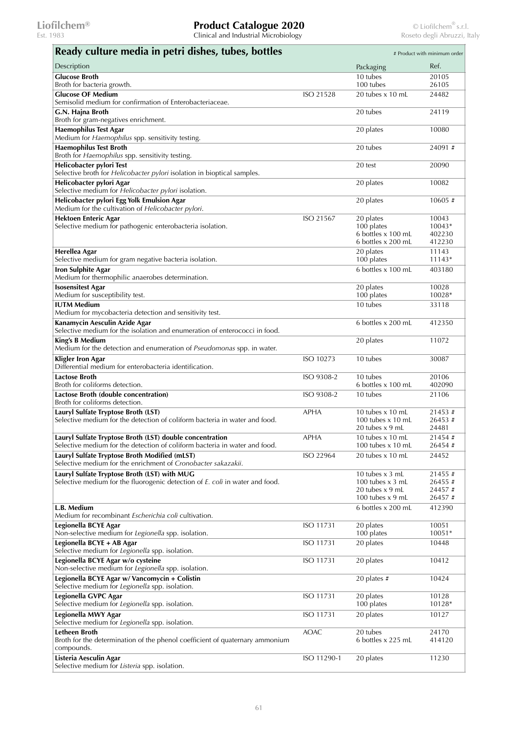| Ready culture media in petri dishes, tubes, bottles                                                                                    |                  |                                                                                  | # Product with minimum order          |
|----------------------------------------------------------------------------------------------------------------------------------------|------------------|----------------------------------------------------------------------------------|---------------------------------------|
| Description                                                                                                                            |                  | Packaging                                                                        | Ref.                                  |
| <b>Glucose Broth</b><br>Broth for bacteria growth.                                                                                     |                  | 10 tubes<br>100 tubes                                                            | 20105<br>26105                        |
| <b>Glucose OF Medium</b>                                                                                                               | ISO 21528        | 20 tubes x 10 mL                                                                 | 24482                                 |
| Semisolid medium for confirmation of Enterobacteriaceae.                                                                               |                  |                                                                                  |                                       |
| G.N. Hajna Broth<br>Broth for gram-negatives enrichment.                                                                               |                  | 20 tubes                                                                         | 24119                                 |
| <b>Haemophilus Test Agar</b><br>Medium for Haemophilus spp. sensitivity testing.                                                       |                  | 20 plates                                                                        | 10080                                 |
| <b>Haemophilus Test Broth</b><br>Broth for Haemophilus spp. sensitivity testing.                                                       |                  | 20 tubes                                                                         | 24091#                                |
| Helicobacter pylori Test<br>Selective broth for Helicobacter pylori isolation in bioptical samples.                                    |                  | 20 test                                                                          | 20090                                 |
| Helicobacter pylori Agar<br>Selective medium for Helicobacter pylori isolation.                                                        |                  | 20 plates                                                                        | 10082                                 |
| Helicobacter pylori Egg Yolk Emulsion Agar<br>Medium for the cultivation of Helicobacter pylori.                                       |                  | 20 plates                                                                        | 10605 #                               |
| <b>Hektoen Enteric Agar</b><br>Selective medium for pathogenic enterobacteria isolation.                                               | ISO 21567        | 20 plates<br>100 plates<br>6 bottles x 100 mL<br>6 bottles x 200 mL              | 10043<br>10043*<br>402230<br>412230   |
| Herellea Agar                                                                                                                          |                  | 20 plates                                                                        | 11143                                 |
| Selective medium for gram negative bacteria isolation.                                                                                 |                  | 100 plates                                                                       | $11143*$                              |
| <b>Iron Sulphite Agar</b><br>Medium for thermophilic anaerobes determination.                                                          |                  | 6 bottles x 100 mL                                                               | 403180                                |
| <b>Isosensitest Agar</b><br>Medium for susceptibility test.                                                                            |                  | 20 plates<br>100 plates                                                          | 10028<br>10028*                       |
| <b>IUTM Medium</b><br>Medium for mycobacteria detection and sensitivity test.                                                          |                  | 10 tubes                                                                         | 33118                                 |
| Kanamycin Aesculin Azide Agar<br>Selective medium for the isolation and enumeration of enterococci in food.                            |                  | 6 bottles x 200 mL                                                               | 412350                                |
| King's B Medium<br>Medium for the detection and enumeration of Pseudomonas spp. in water.                                              |                  | 20 plates                                                                        | 11072                                 |
| Kligler Iron Agar<br>Differential medium for enterobacteria identification.                                                            | ISO 10273        | 10 tubes                                                                         | 30087                                 |
| <b>Lactose Broth</b><br>Broth for coliforms detection.                                                                                 | ISO 9308-2       | 10 tubes<br>6 bottles x 100 mL                                                   | 20106<br>402090                       |
| Lactose Broth (double concentration)<br>Broth for coliforms detection.                                                                 | ISO 9308-2       | 10 tubes                                                                         | 21106                                 |
| Lauryl Sulfate Tryptose Broth (LST)<br>Selective medium for the detection of coliform bacteria in water and food.                      | <b>APHA</b>      | 10 tubes $x$ 10 mL<br>100 tubes $\times$ 10 mL<br>20 tubes $x$ 9 mL              | 21453#<br>26453#<br>24481             |
| Lauryl Sulfate Tryptose Broth (LST) double concentration<br>Selective medium for the detection of coliform bacteria in water and food. | <b>APHA</b>      | 10 tubes x 10 mL<br>100 tubes $\times$ 10 mL                                     | 21454 #<br>26454#                     |
| Lauryl Sulfate Tryptose Broth Modified (mLST)<br>Selective medium for the enrichment of Cronobacter sakazakii.                         | ISO 22964        | 20 tubes $\times$ 10 mL                                                          | 24452                                 |
| Lauryl Sulfate Tryptose Broth (LST) with MUG<br>Selective medium for the fluorogenic detection of E. coli in water and food.           |                  | 10 tubes x 3 mL<br>100 tubes $x$ 3 mL<br>20 tubes $x$ 9 mL<br>100 tubes $x$ 9 mL | 21455#<br>26455#<br>24457#<br>26457 # |
| L.B. Medium<br>Medium for recombinant Escherichia coli cultivation.                                                                    |                  | 6 bottles x 200 mL                                                               | 412390                                |
| Legionella BCYE Agar<br>Non-selective medium for Legionella spp. isolation.                                                            | <b>ISO 11731</b> | 20 plates<br>100 plates                                                          | 10051<br>10051*                       |
| Legionella BCYE + AB Agar<br>Selective medium for Legionella spp. isolation.                                                           | ISO 11731        | 20 plates                                                                        | 10448                                 |
| Legionella BCYE Agar w/o cysteine<br>Non-selective medium for Legionella spp. isolation.                                               | ISO 11731        | 20 plates                                                                        | 10412                                 |
| Legionella BCYE Agar w/ Vancomycin + Colistin<br>Selective medium for Legionella spp. isolation.                                       |                  | 20 plates $#$                                                                    | 10424                                 |
| Legionella GVPC Agar<br>Selective medium for Legionella spp. isolation.                                                                | ISO 11731        | 20 plates<br>100 plates                                                          | 10128<br>10128*                       |
| Legionella MWY Agar<br>Selective medium for Legionella spp. isolation.                                                                 | ISO 11731        | 20 plates                                                                        | 10127                                 |
| Letheen Broth<br>Broth for the determination of the phenol coefficient of quaternary ammonium<br>compounds.                            | <b>AOAC</b>      | 20 tubes<br>6 bottles x 225 mL                                                   | 24170<br>414120                       |
| Listeria Aesculin Agar<br>Selective medium for Listeria spp. isolation.                                                                | ISO 11290-1      | 20 plates                                                                        | 11230                                 |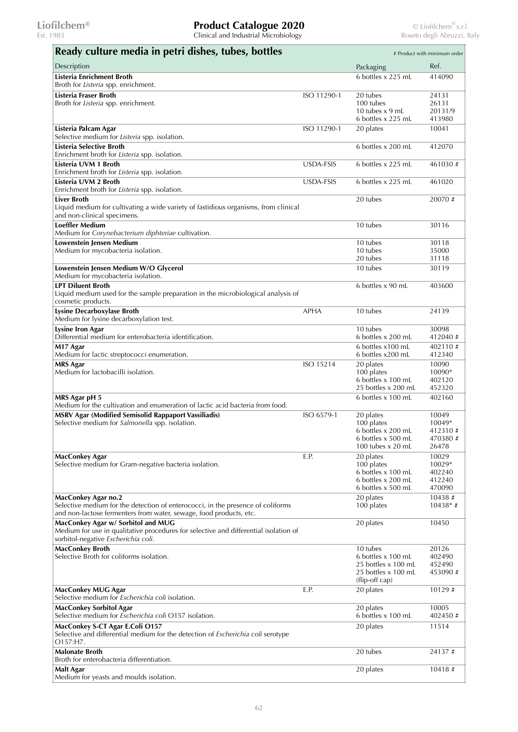| Ready culture media in petri dishes, tubes, bottles                                                                                                                                 |             |                                                                                                | # Product with minimum order                    |
|-------------------------------------------------------------------------------------------------------------------------------------------------------------------------------------|-------------|------------------------------------------------------------------------------------------------|-------------------------------------------------|
| Description                                                                                                                                                                         |             | Packaging                                                                                      | Ref.                                            |
| Listeria Enrichment Broth<br>Broth for Listeria spp. enrichment.                                                                                                                    |             | 6 bottles x 225 mL                                                                             | 414090                                          |
| Listeria Fraser Broth<br>Broth for Listeria spp. enrichment.                                                                                                                        | ISO 11290-1 | 20 tubes<br>100 tubes<br>10 tubes $x$ 9 mL<br>6 bottles x 225 mL                               | 24131<br>26131<br>20131/9<br>413980             |
| Listeria Palcam Agar<br>Selective medium for Listeria spp. isolation.                                                                                                               | ISO 11290-1 | 20 plates                                                                                      | 10041                                           |
| Listeria Selective Broth<br>Enrichment broth for Listeria spp. isolation.                                                                                                           |             | 6 bottles x 200 mL                                                                             | 412070                                          |
| Listeria UVM 1 Broth<br>Enrichment broth for Listeria spp. isolation.                                                                                                               | USDA-FSIS   | 6 bottles x 225 mL                                                                             | 461030#                                         |
| Listeria UVM 2 Broth<br>Enrichment broth for Listeria spp. isolation.                                                                                                               | USDA-FSIS   | 6 bottles x 225 mL                                                                             | 461020                                          |
| <b>Liver Broth</b><br>Liquid medium for cultivating a wide variety of fastidious organisms, from clinical<br>and non-clinical specimens.                                            |             | 20 tubes                                                                                       | 20070#                                          |
| <b>Loeffler Medium</b><br>Medium for Corynebacterium diphteriae cultivation.                                                                                                        |             | 10 tubes                                                                                       | 30116                                           |
| Lowenstein Jensen Medium<br>Medium for mycobacteria isolation.                                                                                                                      |             | 10 tubes<br>10 tubes<br>20 tubes                                                               | 30118<br>35000<br>31118                         |
| Lowenstein Jensen Medium W/O Glycerol<br>Medium for mycobacteria isolation.                                                                                                         |             | 10 tubes                                                                                       | 30119                                           |
| <b>LPT Diluent Broth</b><br>Liquid medium used for the sample preparation in the microbiological analysis of<br>cosmetic products.                                                  |             | 6 bottles x 90 mL                                                                              | 403600                                          |
| Lysine Decarboxylase Broth<br>Medium for lysine decarboxylation test.                                                                                                               | <b>APHA</b> | 10 tubes                                                                                       | 24139                                           |
| <b>Lysine Iron Agar</b><br>Differential medium for enterobacteria identification.                                                                                                   |             | 10 tubes<br>6 bottles x 200 mL                                                                 | 30098<br>412040#                                |
| M17 Agar<br>Medium for lactic streptococci enumeration.                                                                                                                             |             | 6 bottles x100 mL<br>6 bottles x200 mL                                                         | 402110#<br>412340                               |
| <b>MRS Agar</b><br>Medium for lactobacilli isolation.                                                                                                                               | ISO 15214   | 20 plates<br>100 plates<br>6 bottles x 100 mL<br>25 bottles x 200 mL                           | 10090<br>10090*<br>402120<br>452320             |
| MRS Agar pH 5<br>Medium for the cultivation and enumeration of lactic acid bacteria from food.                                                                                      |             | 6 bottles x 100 mL                                                                             | 402160                                          |
| <b>MSRV Agar (Modified Semisolid Rappaport Vassiliadis)</b><br>Selective medium for Salmonella spp. isolation.                                                                      | ISO 6579-1  | 20 plates<br>100 plates<br>6 bottles x 200 mL<br>6 bottles x 500 mL<br>100 tubes $x$ 20 mL     | 10049<br>10049*<br>412310#<br>470380 #<br>26478 |
| <b>MacConkey Agar</b><br>Selective medium for Gram-negative bacteria isolation.                                                                                                     | E.P.        | 20 plates<br>100 plates<br>6 bottles x 100 mL<br>6 bottles x 200 mL<br>6 bottles x 500 mL      | 10029<br>10029*<br>402240<br>412240<br>470090   |
| <b>MacConkey Agar no.2</b><br>Selective medium for the detection of enterococci, in the presence of coliforms<br>and non-lactose fermenters from water, sewage, food products, etc. |             | 20 plates<br>100 plates                                                                        | 10438#<br>$10438*$ #                            |
| MacConkey Agar w/ Sorbitol and MUG<br>Medium for use in qualitative procedures for selective and differential isolation of<br>sorbitol-negative Escherichia coli.                   |             | 20 plates                                                                                      | 10450                                           |
| <b>MacConkey Broth</b><br>Selective Broth for coliforms isolation.                                                                                                                  |             | 10 tubes<br>6 bottles x 100 mL<br>25 bottles x 100 mL<br>25 bottles x 100 mL<br>(flip-off cap) | 20126<br>402490<br>452490<br>453090#            |
| MacConkey MUG Agar<br>Selective medium for Escherichia coli isolation.                                                                                                              | E.P.        | 20 plates                                                                                      | 10129 #                                         |
| <b>MacConkey Sorbitol Agar</b><br>Selective medium for <i>Escherichia coli</i> O157 isolation.                                                                                      |             | 20 plates<br>6 bottles x 100 mL                                                                | 10005<br>402450 #                               |
| MacConkey S-CT Agar E.Coli O157<br>Selective and differential medium for the detection of Escherichia coli serotype<br>O157:H7.                                                     |             | 20 plates                                                                                      | 11514                                           |
| <b>Malonate Broth</b><br>Broth for enterobacteria differentiation.                                                                                                                  |             | 20 tubes                                                                                       | 24137 #                                         |
| <b>Malt Agar</b><br>Medium for yeasts and moulds isolation.                                                                                                                         |             | 20 plates                                                                                      | 10418#                                          |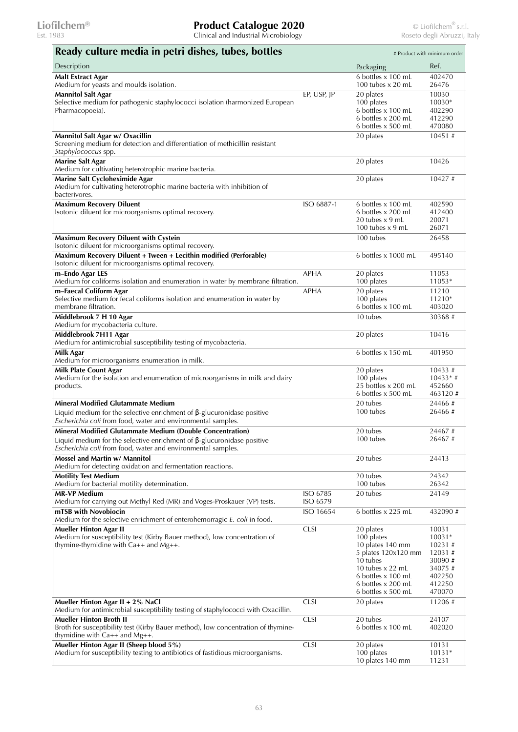| Ready culture media in petri dishes, tubes, bottles                                                                                           |             |                                           | # Product with minimum order |
|-----------------------------------------------------------------------------------------------------------------------------------------------|-------------|-------------------------------------------|------------------------------|
| Description                                                                                                                                   |             | Packaging                                 | Ref.                         |
| <b>Malt Extract Agar</b>                                                                                                                      |             | 6 bottles x 100 mL                        | 402470                       |
| Medium for yeasts and moulds isolation.                                                                                                       | EP, USP, IP | 100 tubes $x$ 20 mL<br>20 plates          | 26476<br>10030               |
| <b>Mannitol Salt Agar</b><br>Selective medium for pathogenic staphylococci isolation (harmonized European                                     |             | 100 plates                                | $10030*$                     |
| Pharmacopoeia).                                                                                                                               |             | 6 bottles x 100 mL                        | 402290                       |
|                                                                                                                                               |             | 6 bottles x 200 mL<br>6 bottles x 500 mL  | 412290<br>470080             |
| Mannitol Salt Agar w/ Oxacillin                                                                                                               |             | 20 plates                                 | $10451 \#$                   |
| Screening medium for detection and differentiation of methicillin resistant                                                                   |             |                                           |                              |
| Staphylococcus spp.                                                                                                                           |             |                                           |                              |
| <b>Marine Salt Agar</b><br>Medium for cultivating heterotrophic marine bacteria.                                                              |             | 20 plates                                 | 10426                        |
| Marine Salt Cycloheximide Agar                                                                                                                |             | 20 plates                                 | 10427#                       |
| Medium for cultivating heterotrophic marine bacteria with inhibition of<br>bacterivores.                                                      |             |                                           |                              |
| <b>Maximum Recovery Diluent</b>                                                                                                               | ISO 6887-1  | 6 bottles x 100 mL                        | 402590                       |
| Isotonic diluent for microorganisms optimal recovery.                                                                                         |             | 6 bottles x 200 mL<br>20 tubes x 9 mL     | 412400<br>20071              |
|                                                                                                                                               |             | 100 tubes $x$ 9 mL                        | 26071                        |
| Maximum Recovery Diluent with Cystein                                                                                                         |             | 100 tubes                                 | 26458                        |
| Isotonic diluent for microorganisms optimal recovery.                                                                                         |             |                                           |                              |
| Maximum Recovery Diluent + Tween + Lecithin modified (Perforable)<br>Isotonic diluent for microorganisms optimal recovery.                    |             | 6 bottles x 1000 mL                       | 495140                       |
| m-Endo Agar LES                                                                                                                               | <b>APHA</b> | 20 plates                                 | 11053                        |
| Medium for coliforms isolation and enumeration in water by membrane filtration.                                                               |             | 100 plates                                | 11053*                       |
| m-Faecal Coliform Agar<br>Selective medium for fecal coliforms isolation and enumeration in water by                                          | APHA        | 20 plates<br>100 plates                   | 11210<br>11210*              |
| membrane filtration.                                                                                                                          |             | 6 bottles x 100 mL                        | 403020                       |
| Middlebrook 7 H 10 Agar                                                                                                                       |             | 10 tubes                                  | 30368#                       |
| Medium for mycobacteria culture.                                                                                                              |             |                                           |                              |
| Middlebrook 7H11 Agar<br>Medium for antimicrobial susceptibility testing of mycobacteria.                                                     |             | 20 plates                                 | 10416                        |
| Milk Agar<br>Medium for microorganisms enumeration in milk.                                                                                   |             | 6 bottles x 150 mL                        | 401950                       |
| <b>Milk Plate Count Agar</b>                                                                                                                  |             | 20 plates                                 | $10433 \#$                   |
| Medium for the isolation and enumeration of microorganisms in milk and dairy                                                                  |             | 100 plates                                | $10433*$ #                   |
| products.                                                                                                                                     |             | 25 bottles x 200 mL<br>6 bottles x 500 mL | 452660<br>463120#            |
| <b>Mineral Modified Glutammate Medium</b>                                                                                                     |             | 20 tubes                                  | 24466#                       |
| Liquid medium for the selective enrichment of $\beta$ -glucuronidase positive<br>Escherichia coli from food, water and environmental samples. |             | 100 tubes                                 | 26466#                       |
| <b>Mineral Modified Glutammate Medium (Double Concentration)</b>                                                                              |             | 20 tubes                                  | 24467#                       |
| Liquid medium for the selective enrichment of $\beta$ -glucuronidase positive                                                                 |             | 100 tubes                                 | 26467#                       |
| Escherichia coli from food, water and environmental samples.                                                                                  |             |                                           |                              |
| Mossel and Martin w/ Mannitol                                                                                                                 |             | 20 tubes                                  | 24413                        |
| Medium for detecting oxidation and fermentation reactions.                                                                                    |             |                                           |                              |
| <b>Motility Test Medium</b><br>Medium for bacterial motility determination.                                                                   |             | 20 tubes<br>100 tubes                     | 24342<br>26342               |
| <b>MR-VP Medium</b>                                                                                                                           | ISO 6785    | 20 tubes                                  | 24149                        |
| Medium for carrying out Methyl Red (MR) and Voges-Proskauer (VP) tests.                                                                       | ISO 6579    |                                           |                              |
| mTSB with Novobiocin<br>Medium for the selective enrichment of enterohemorragic E. coli in food.                                              | ISO 16654   | 6 bottles x 225 mL                        | 432090#                      |
| <b>Mueller Hinton Agar II</b>                                                                                                                 | <b>CLSI</b> | 20 plates                                 | 10031                        |
| Medium for susceptibility test (Kirby Bauer method), low concentration of                                                                     |             | 100 plates                                | 10031*                       |
| thymine-thymidine with $Ca++$ and $Mg++$ .                                                                                                    |             | 10 plates 140 mm<br>5 plates 120x120 mm   | 10231#<br>12031#             |
|                                                                                                                                               |             | 10 tubes                                  | 30090 #                      |
|                                                                                                                                               |             | 10 tubes $\times$ 22 mL                   | 34075 #                      |
|                                                                                                                                               |             | 6 bottles x 100 mL                        | 402250                       |
|                                                                                                                                               |             | 6 bottles x 200 mL<br>6 bottles x 500 mL  | 412250<br>470070             |
| Mueller Hinton Agar II + 2% NaCl                                                                                                              | <b>CLSI</b> | 20 plates                                 | 11206#                       |
| Medium for antimicrobial susceptibility testing of staphylococci with Oxacillin.<br><b>Mueller Hinton Broth II</b>                            |             |                                           |                              |
| Broth for susceptibility test (Kirby Bauer method), low concentration of thymine-<br>thymidine with $Ca++$ and $Mg++$ .                       | <b>CLSI</b> | 20 tubes<br>6 bottles x 100 mL            | 24107<br>402020              |
| Mueller Hinton Agar II (Sheep blood 5%)                                                                                                       | <b>CLSI</b> | 20 plates                                 | 10131                        |
| Medium for susceptibility testing to antibiotics of fastidious microorganisms.                                                                |             | 100 plates                                | $10131*$                     |
|                                                                                                                                               |             | 10 plates 140 mm                          | 11231                        |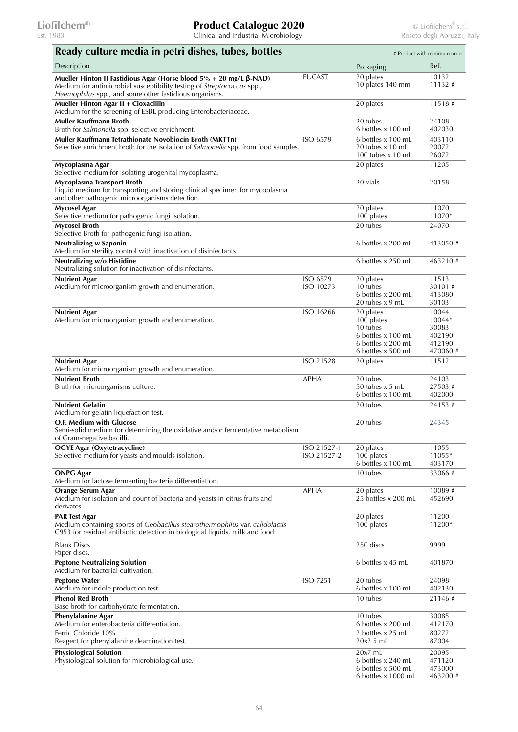| Ready culture media in petri dishes, tubes, bottles                                                                                                                                                      |                            |                                                                                                       | # Product with minimum order                            |
|----------------------------------------------------------------------------------------------------------------------------------------------------------------------------------------------------------|----------------------------|-------------------------------------------------------------------------------------------------------|---------------------------------------------------------|
| Description                                                                                                                                                                                              |                            | Packaging                                                                                             | Ref.                                                    |
| Mueller Hinton II Fastidious Agar (Horse blood $5% + 20$ mg/L β-NAD)<br>Medium for antimicrobial susceptibility testing of Streptococcus spp.,<br>Haemophilus spp., and some other fastidious organisms. | <b>EUCAST</b>              | 20 plates<br>10 plates 140 mm                                                                         | 10132<br>11132#                                         |
| Mueller Hinton Agar II + Cloxacillin<br>Medium for the screening of ESBL producing Enterobacteriaceae.                                                                                                   |                            | 20 plates                                                                                             | 11518#                                                  |
| Muller Kauffmann Broth<br>Broth for Salmonella spp. selective enrichment.                                                                                                                                |                            | 20 tubes<br>6 bottles x 100 mL                                                                        | 24108<br>402030                                         |
| Muller Kauffmann Tetrathionate Novobiocin Broth (MKTTn)<br>Selective enrichment broth for the isolation of Salmonella spp. from food samples.                                                            | ISO 6579                   | 6 bottles x 100 mL<br>20 tubes x 10 mL<br>100 tubes $x$ 10 mL                                         | 403110<br>20072<br>26072                                |
| Mycoplasma Agar<br>Selective medium for isolating urogenital mycoplasma.                                                                                                                                 |                            | 20 plates                                                                                             | 11205                                                   |
| Mycoplasma Transport Broth<br>Liquid medium for transporting and storing clinical specimen for mycoplasma<br>and other pathogenic microorganisms detection.                                              |                            | 20 vials                                                                                              | 20158                                                   |
| <b>Mycosel Agar</b><br>Selective medium for pathogenic fungi isolation.                                                                                                                                  |                            | 20 plates<br>100 plates                                                                               | 11070<br>11070*                                         |
| <b>Mycosel Broth</b><br>Selective Broth for pathogenic fungi isolation.                                                                                                                                  |                            | 20 tubes                                                                                              | 24070                                                   |
| <b>Neutralizing w Saponin</b><br>Medium for sterility control with inactivation of disinfectants.                                                                                                        |                            | 6 bottles x 200 mL                                                                                    | 413050#                                                 |
| Neutralizing w/o Histidine<br>Neutralizing solution for inactivation of disinfectants.                                                                                                                   |                            | 6 bottles x 250 mL                                                                                    | 463210#                                                 |
| <b>Nutrient Agar</b><br>Medium for microorganism growth and enumeration.                                                                                                                                 | ISO 6579<br>ISO 10273      | 20 plates<br>10 tubes<br>6 bottles x 200 mL<br>20 tubes x 9 mL                                        | 11513<br>30101#<br>413080<br>30103                      |
| <b>Nutrient Agar</b><br>Medium for microorganism growth and enumeration.                                                                                                                                 | ISO 16266                  | 20 plates<br>100 plates<br>10 tubes<br>6 bottles x 100 mL<br>6 bottles x 200 mL<br>6 bottles x 500 mL | 10044<br>10044*<br>30083<br>402190<br>412190<br>470060# |
| <b>Nutrient Agar</b><br>Medium for microorganism growth and enumeration.                                                                                                                                 | ISO 21528                  | 20 plates                                                                                             | 11512                                                   |
| <b>Nutrient Broth</b><br>Broth for microorganisms culture.                                                                                                                                               | <b>APHA</b>                | 20 tubes<br>50 tubes $x$ 5 mL<br>6 bottles x 100 mL                                                   | 24103<br>27503#<br>402000                               |
| <b>Nutrient Gelatin</b><br>Medium for gelatin liquefaction test.                                                                                                                                         |                            | 20 tubes                                                                                              | 24153#                                                  |
| O.F. Medium with Glucose<br>Semi-solid medium for determining the oxidative and/or fermentative metabolism<br>of Gram-negative bacilli.                                                                  |                            | 20 tubes                                                                                              | 24345                                                   |
| <b>OGYE Agar (Oxytetracycline)</b><br>Selective medium for yeasts and moulds isolation.                                                                                                                  | ISO 21527-1<br>ISO 21527-2 | 20 plates<br>100 plates<br>6 bottles x 100 mL                                                         | 11055<br>11055*<br>403170                               |
| <b>ONPG Agar</b><br>Medium for lactose fermenting bacteria differentiation.                                                                                                                              |                            | 10 tubes                                                                                              | 33066#                                                  |
| Orange Serum Agar<br>Medium for isolation and count of bacteria and yeasts in citrus fruits and<br>derivates.                                                                                            | <b>APHA</b>                | 20 plates<br>25 bottles x 200 mL                                                                      | 10089 #<br>452690                                       |
| <b>PAR Test Agar</b><br>Medium containing spores of Geobacillus stearothermophilus var. calidolactis<br>C953 for residual antibiotic detection in biological liquids, milk and food.                     |                            | 20 plates<br>100 plates                                                                               | 11200<br>11200*                                         |
| <b>Blank Discs</b><br>Paper discs.                                                                                                                                                                       |                            | 250 discs                                                                                             | 9999                                                    |
| <b>Peptone Neutralizing Solution</b><br>Medium for bacterial cultivation.                                                                                                                                |                            | 6 bottles x 45 mL                                                                                     | 401870                                                  |
| <b>Peptone Water</b><br>Medium for indole production test.                                                                                                                                               | <b>ISO 7251</b>            | 20 tubes<br>6 bottles x 100 mL                                                                        | 24098<br>402130                                         |
| <b>Phenol Red Broth</b><br>Base broth for carbohydrate fermentation.                                                                                                                                     |                            | 10 tubes                                                                                              | 21146#                                                  |
| <b>Phenylalanine Agar</b><br>Medium for enterobacteria differentiation.                                                                                                                                  |                            | 10 tubes<br>6 bottles x 200 mL                                                                        | 30085<br>412170                                         |
| Ferric Chloride 10%<br>Reagent for phenylalanine deamination test.                                                                                                                                       |                            | 2 bottles x 25 mL<br>$20x2.5$ mL                                                                      | 80272<br>87004                                          |
| <b>Physiological Solution</b><br>Physiological solution for microbiological use.                                                                                                                         |                            | $20x7$ mL<br>6 bottles x 240 mL<br>6 bottles x 500 mL<br>$6$ bottles x 1000 mL                        | 20095<br>471120<br>473000<br>463200 #                   |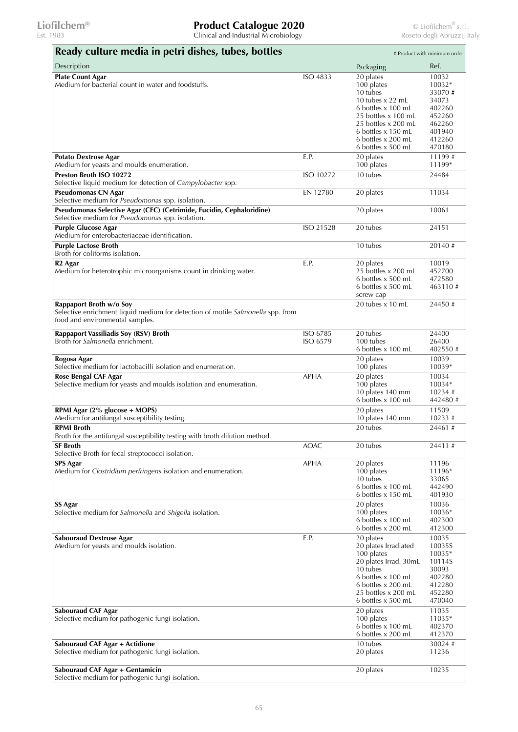| Ready culture media in petri dishes, tubes, bottles                                                                                           |                      |                                                                                                                                                                                                 | # Product with minimum order                                                                   |
|-----------------------------------------------------------------------------------------------------------------------------------------------|----------------------|-------------------------------------------------------------------------------------------------------------------------------------------------------------------------------------------------|------------------------------------------------------------------------------------------------|
| Description                                                                                                                                   |                      | Packaging                                                                                                                                                                                       | Ref.                                                                                           |
| <b>Plate Count Agar</b><br>Medium for bacterial count in water and foodstuffs.                                                                | ISO 4833             | 20 plates<br>100 plates<br>10 tubes<br>10 tubes $x$ 22 mL<br>6 bottles x 100 mL<br>25 bottles x 100 mL<br>25 bottles x 200 mL<br>6 bottles x 150 mL<br>6 bottles x 200 mL<br>6 bottles x 500 mL | 10032<br>10032*<br>33070#<br>34073<br>402260<br>452260<br>462260<br>401940<br>412260<br>470180 |
| <b>Potato Dextrose Agar</b><br>Medium for yeasts and moulds enumeration.                                                                      | E.P.                 | 20 plates<br>100 plates                                                                                                                                                                         | 11199#<br>11199*                                                                               |
| Preston Broth ISO 10272<br>Selective liquid medium for detection of Campylobacter spp.                                                        | ISO 10272            | 10 tubes                                                                                                                                                                                        | 24484                                                                                          |
| Pseudomonas CN Agar<br>Selective medium for Pseudomonas spp. isolation.                                                                       | EN 12780             | 20 plates                                                                                                                                                                                       | 11034                                                                                          |
| Pseudomonas Selective Agar (CFC) (Cetrimide, Fucidin, Cephaloridine)<br>Selective medium for Pseudomonas spp. isolation.                      |                      | 20 plates                                                                                                                                                                                       | 10061                                                                                          |
| <b>Purple Glucose Agar</b><br>Medium for enterobacteriaceae identification.                                                                   | ISO 21528            | 20 tubes                                                                                                                                                                                        | 24151                                                                                          |
| <b>Purple Lactose Broth</b><br>Broth for coliforms isolation.                                                                                 |                      | 10 tubes                                                                                                                                                                                        | 20140#                                                                                         |
| R <sub>2</sub> Agar<br>Medium for heterotrophic microorganisms count in drinking water.                                                       | E.P.                 | 20 plates<br>25 bottles x 200 mL<br>6 bottles x 500 mL<br>6 bottles x 500 mL<br>screw cap                                                                                                       | 10019<br>452700<br>472580<br>463110#                                                           |
| Rappaport Broth w/o Soy<br>Selective enrichment liquid medium for detection of motile Salmonella spp. from<br>food and environmental samples. |                      | 20 tubes $x$ 10 mL                                                                                                                                                                              | 24450#                                                                                         |
| Rappaport Vassiliadis Soy (RSV) Broth<br>Broth for Salmonella enrichment.                                                                     | ISO 6785<br>ISO 6579 | 20 tubes<br>100 tubes<br>6 bottles x 100 mL                                                                                                                                                     | 24400<br>26400<br>402550#                                                                      |
| Rogosa Agar<br>Selective medium for lactobacilli isolation and enumeration.                                                                   |                      | 20 plates<br>100 plates                                                                                                                                                                         | 10039<br>10039*                                                                                |
| Rose Bengal CAF Agar<br>Selective medium for yeasts and moulds isolation and enumeration.                                                     | <b>APHA</b>          | 20 plates<br>100 plates<br>10 plates 140 mm<br>6 bottles x 100 mL                                                                                                                               | 10034<br>10034*<br>10234#<br>442480 #                                                          |
| RPMI Agar (2% glucose + MOPS)<br>Medium for antifungal susceptibility testing.                                                                |                      | 20 plates<br>10 plates 140 mm                                                                                                                                                                   | 11509<br>$10233 \#$                                                                            |
| <b>RPMI Broth</b><br>Broth for the antifungal susceptibility testing with broth dilution method.                                              |                      | 20 tubes                                                                                                                                                                                        | 24461#                                                                                         |
| SF Broth<br>Selective Broth for fecal streptococci isolation.                                                                                 | <b>AOAC</b>          | 20 tubes                                                                                                                                                                                        | 24411#                                                                                         |
| <b>SPS Agar</b><br>Medium for Clostridium perfringens isolation and enumeration.                                                              | <b>APHA</b>          | 20 plates<br>100 plates<br>10 tubes<br>6 bottles x 100 mL<br>6 bottles x 150 mL                                                                                                                 | 11196<br>11196*<br>33065<br>442490<br>401930                                                   |
| <b>SS Agar</b><br>Selective medium for Salmonella and Shigella isolation.                                                                     |                      | 20 plates<br>100 plates<br>6 bottles x 100 mL<br>6 bottles x 200 mL                                                                                                                             | 10036<br>10036*<br>402300<br>412300                                                            |
| Sabouraud Dextrose Agar<br>Medium for yeasts and moulds isolation.                                                                            | E.P.                 | 20 plates<br>20 plates Irradiated<br>100 plates<br>20 plates Irrad. 30mL<br>10 tubes<br>6 bottles x 100 mL<br>6 bottles x 200 mL<br>25 bottles x 200 mL<br>6 bottles x 500 mL                   | 10035<br>10035S<br>10035*<br>10114S<br>30093<br>402280<br>412280<br>452280<br>470040           |
| Sabouraud CAF Agar<br>Selective medium for pathogenic fungi isolation.                                                                        |                      | 20 plates<br>100 plates<br>6 bottles x 100 mL<br>6 bottles x 200 mL                                                                                                                             | 11035<br>11035*<br>402370<br>412370                                                            |
| <b>Sabouraud CAF Agar + Actidione</b><br>Selective medium for pathogenic fungi isolation.                                                     |                      | 10 tubes<br>20 plates                                                                                                                                                                           | 30024#<br>11236                                                                                |
| Sabouraud CAF Agar + Gentamicin<br>Selective medium for pathogenic fungi isolation.                                                           |                      | 20 plates                                                                                                                                                                                       | 10235                                                                                          |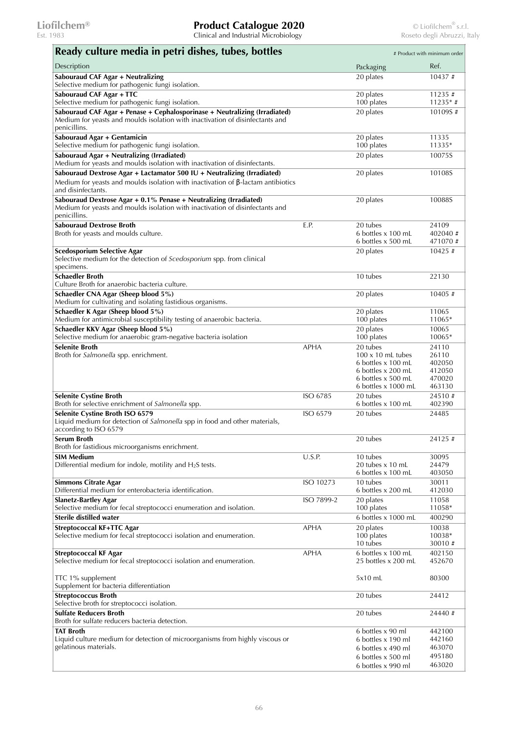| Ready culture media in petri dishes, tubes, bottles                                                                                                                                      |             |                                                                                  | # Product with minimum order       |
|------------------------------------------------------------------------------------------------------------------------------------------------------------------------------------------|-------------|----------------------------------------------------------------------------------|------------------------------------|
| Description                                                                                                                                                                              |             | Packaging                                                                        | Ref.                               |
| Sabouraud CAF Agar + Neutralizing                                                                                                                                                        |             | 20 plates                                                                        | 10437#                             |
| Selective medium for pathogenic fungi isolation.<br>Sabouraud CAF Agar + TTC                                                                                                             |             | 20 plates                                                                        | 11235#                             |
| Selective medium for pathogenic fungi isolation.                                                                                                                                         |             | 100 plates                                                                       | $11235*$ #                         |
| Sabouraud CAF Agar + Penase + Cephalosporinase + Neutralizing (Irradiated)<br>Medium for yeasts and moulds isolation with inactivation of disinfectants and<br>penicillins.              |             | 20 plates                                                                        | 10109S#                            |
| Sabouraud Agar + Gentamicin<br>Selective medium for pathogenic fungi isolation.                                                                                                          |             | 20 plates<br>100 plates                                                          | 11335<br>11335*                    |
| Sabouraud Agar + Neutralizing (Irradiated)<br>Medium for yeasts and moulds isolation with inactivation of disinfectants.                                                                 |             | 20 plates                                                                        | 10075S                             |
| Sabouraud Dextrose Agar + Lactamator 500 IU + Neutralizing (Irradiated)<br>Medium for yeasts and moulds isolation with inactivation of $\beta$ -lactam antibiotics<br>and disinfectants. |             | 20 plates                                                                        | 10108S                             |
| Sabouraud Dextrose Agar + 0.1% Penase + Neutralizing (Irradiated)<br>Medium for yeasts and moulds isolation with inactivation of disinfectants and<br>penicillins.                       |             | 20 plates                                                                        | 10088S                             |
| <b>Sabouraud Dextrose Broth</b><br>Broth for yeasts and moulds culture.                                                                                                                  | E.P.        | 20 tubes<br>6 bottles x 100 mL<br>6 bottles x 500 mL                             | 24109<br>402040#<br>471070#        |
| <b>Scedosporium Selective Agar</b><br>Selective medium for the detection of Scedosporium spp. from clinical<br>specimens.                                                                |             | 20 plates                                                                        | 10425 #                            |
| <b>Schaedler Broth</b><br>Culture Broth for anaerobic bacteria culture.                                                                                                                  |             | 10 tubes                                                                         | 22130                              |
| Schaedler CNA Agar (Sheep blood 5%)<br>Medium for cultivating and isolating fastidious organisms.                                                                                        |             | 20 plates                                                                        | $10405 \#$                         |
| Schaedler K Agar (Sheep blood 5%)<br>Medium for antimicrobial susceptibility testing of anaerobic bacteria.                                                                              |             | 20 plates<br>100 plates                                                          | 11065<br>11065*                    |
| Schaedler KKV Agar (Sheep blood 5%)<br>Selective medium for anaerobic gram-negative bacteria isolation                                                                                   |             | 20 plates<br>100 plates                                                          | 10065<br>10065*                    |
| <b>Selenite Broth</b><br>Broth for Salmonella spp. enrichment.                                                                                                                           | <b>APHA</b> | 20 tubes<br>$100 \times 10$ mL tubes<br>6 bottles x 100 mL<br>6 bottles x 200 mL | 24110<br>26110<br>402050<br>412050 |
|                                                                                                                                                                                          |             | 6 bottles x 500 mL<br>$6$ bottles x 1000 mL                                      | 470020<br>463130                   |
| <b>Selenite Cystine Broth</b><br>Broth for selective enrichment of Salmonella spp.                                                                                                       | ISO 6785    | 20 tubes<br>6 bottles x 100 mL                                                   | 24510#<br>402390                   |
| Selenite Cystine Broth ISO 6579<br>Liquid medium for detection of Salmonella spp in food and other materials,<br>according to ISO 6579                                                   | ISO 6579    | 20 tubes                                                                         | 24485                              |
| Serum Broth<br>Broth for fastidious microorganisms enrichment.                                                                                                                           |             | 20 tubes                                                                         | 24125#                             |
| <b>SIM Medium</b><br>Differential medium for indole, motility and $H_2S$ tests.                                                                                                          | U.S.P.      | 10 tubes<br>20 tubes x 10 mL<br>6 bottles x 100 mL                               | 30095<br>24479<br>403050           |
| <b>Simmons Citrate Agar</b><br>Differential medium for enterobacteria identification.                                                                                                    | ISO 10273   | 10 tubes<br>6 bottles x 200 mL                                                   | 30011<br>412030                    |
| <b>Slanetz-Bartley Agar</b><br>Selective medium for fecal streptococci enumeration and isolation.                                                                                        | ISO 7899-2  | 20 plates<br>100 plates                                                          | 11058<br>11058*                    |
| Sterile distilled water                                                                                                                                                                  |             | 6 bottles x 1000 mL                                                              | 400290                             |
| <b>Streptococcal KF+TTC Agar</b><br>Selective medium for fecal streptococci isolation and enumeration.                                                                                   | <b>APHA</b> | 20 plates<br>100 plates<br>10 tubes                                              | 10038<br>10038*<br>30010#          |
| <b>Streptococcal KF Agar</b><br>Selective medium for fecal streptococci isolation and enumeration.                                                                                       | <b>APHA</b> | 6 bottles x 100 mL<br>25 bottles x 200 mL                                        | 402150<br>452670                   |
| TTC 1% supplement<br>Supplement for bacteria differentiation                                                                                                                             |             | 5x10 mL                                                                          | 80300                              |
| <b>Streptococcus Broth</b><br>Selective broth for streptococci isolation.                                                                                                                |             | 20 tubes                                                                         | 24412                              |
| <b>Sulfate Reducers Broth</b><br>Broth for sulfate reducers bacteria detection.                                                                                                          |             | 20 tubes                                                                         | 24440#                             |
| <b>TAT Broth</b>                                                                                                                                                                         |             | 6 bottles x 90 ml                                                                | 442100                             |
| Liquid culture medium for detection of microorganisms from highly viscous or<br>gelatinous materials.                                                                                    |             | 6 bottles x 190 ml<br>6 bottles x 490 ml                                         | 442160<br>463070                   |
|                                                                                                                                                                                          |             | 6 bottles x 500 ml                                                               | 495180                             |
|                                                                                                                                                                                          |             | 6 bottles x 990 ml                                                               | 463020                             |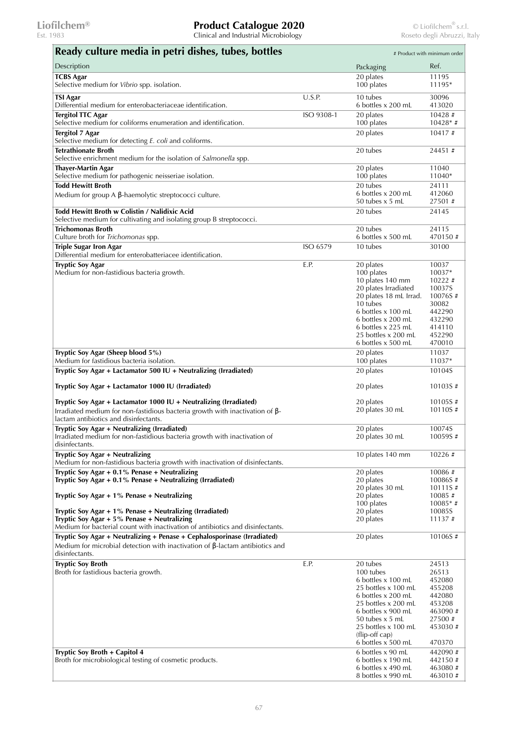| Ready culture media in petri dishes, tubes, bottles                                                                                                                                                                                                                                       |            |                                                                                                                                                                                                                         | # Product with minimum order                                                                      |
|-------------------------------------------------------------------------------------------------------------------------------------------------------------------------------------------------------------------------------------------------------------------------------------------|------------|-------------------------------------------------------------------------------------------------------------------------------------------------------------------------------------------------------------------------|---------------------------------------------------------------------------------------------------|
| Description                                                                                                                                                                                                                                                                               |            | Packaging                                                                                                                                                                                                               | Ref.                                                                                              |
| <b>TCBS Agar</b><br>Selective medium for Vibrio spp. isolation.                                                                                                                                                                                                                           |            | 20 plates<br>100 plates                                                                                                                                                                                                 | 11195<br>11195*                                                                                   |
| TSI Agar<br>Differential medium for enterobacteriaceae identification.                                                                                                                                                                                                                    | U.S.P.     | 10 tubes<br>6 bottles x 200 mL                                                                                                                                                                                          | 30096<br>413020                                                                                   |
| <b>Tergitol TTC Agar</b><br>Selective medium for coliforms enumeration and identification.                                                                                                                                                                                                | ISO 9308-1 | 20 plates<br>100 plates                                                                                                                                                                                                 | 10428#<br>$10428*$ #                                                                              |
| <b>Tergitol 7 Agar</b><br>Selective medium for detecting E. coli and coliforms.                                                                                                                                                                                                           |            | 20 plates                                                                                                                                                                                                               | 10417#                                                                                            |
| <b>Tetrathionate Broth</b>                                                                                                                                                                                                                                                                |            | 20 tubes                                                                                                                                                                                                                | 24451#                                                                                            |
| Selective enrichment medium for the isolation of Salmonella spp.<br><b>Thayer-Martin Agar</b>                                                                                                                                                                                             |            | 20 plates                                                                                                                                                                                                               | 11040                                                                                             |
| Selective medium for pathogenic neisseriae isolation.<br><b>Todd Hewitt Broth</b>                                                                                                                                                                                                         |            | 100 plates<br>20 tubes                                                                                                                                                                                                  | 11040*<br>24111                                                                                   |
| Medium for group $A$ $\beta$ -haemolytic streptococci culture.                                                                                                                                                                                                                            |            | 6 bottles x 200 mL<br>50 tubes $x$ 5 mL                                                                                                                                                                                 | 412060<br>27501#                                                                                  |
| Todd Hewitt Broth w Colistin / Nalidixic Acid<br>Selective medium for cultivating and isolating group B streptococci.                                                                                                                                                                     |            | 20 tubes                                                                                                                                                                                                                | 24145                                                                                             |
| Trichomonas Broth<br>Culture broth for Trichomonas spp.                                                                                                                                                                                                                                   |            | 20 tubes<br>6 bottles x 500 mL                                                                                                                                                                                          | 24115<br>470150#                                                                                  |
| <b>Triple Sugar Iron Agar</b>                                                                                                                                                                                                                                                             | ISO 6579   | 10 tubes                                                                                                                                                                                                                | 30100                                                                                             |
| Differential medium for enterobatteriacee identification.<br><b>Tryptic Soy Agar</b><br>Medium for non-fastidious bacteria growth.                                                                                                                                                        | E.P.       | 20 plates<br>100 plates<br>10 plates 140 mm                                                                                                                                                                             | 10037<br>10037*<br>10222#                                                                         |
|                                                                                                                                                                                                                                                                                           |            | 20 plates Irradiated<br>20 plates 18 mL Irrad.<br>10 tubes<br>6 bottles x 100 mL<br>6 bottles x 200 mL                                                                                                                  | 10037S<br>10076S#<br>30082<br>442290<br>432290                                                    |
|                                                                                                                                                                                                                                                                                           |            | 6 bottles x 225 mL<br>25 bottles x 200 mL<br>6 bottles x 500 mL                                                                                                                                                         | 414110<br>452290<br>470010                                                                        |
| Tryptic Soy Agar (Sheep blood 5%)<br>Medium for fastidious bacteria isolation.                                                                                                                                                                                                            |            | 20 plates<br>100 plates                                                                                                                                                                                                 | 11037<br>11037*                                                                                   |
| Tryptic Soy Agar + Lactamator 500 IU + Neutralizing (Irradiated)                                                                                                                                                                                                                          |            | 20 plates                                                                                                                                                                                                               | 10104S                                                                                            |
| Tryptic Soy Agar + Lactamator 1000 IU (Irradiated)                                                                                                                                                                                                                                        |            | 20 plates                                                                                                                                                                                                               | 10103S#                                                                                           |
| Tryptic Soy Agar + Lactamator 1000 IU + Neutralizing (Irradiated)<br>Irradiated medium for non-fastidious bacteria growth with inactivation of $\beta$ -<br>lactam antibiotics and disinfectants.                                                                                         |            | 20 plates<br>20 plates 30 mL                                                                                                                                                                                            | 10105S#<br>10110S#                                                                                |
| Tryptic Soy Agar + Neutralizing (Irradiated)<br>Irradiated medium for non-fastidious bacteria growth with inactivation of<br>disinfectants.                                                                                                                                               |            | 20 plates<br>20 plates 30 mL                                                                                                                                                                                            | 10074S<br>10059S#                                                                                 |
| Tryptic Soy Agar + Neutralizing<br>Medium for non-fastidious bacteria growth with inactivation of disinfectants.                                                                                                                                                                          |            | 10 plates 140 mm                                                                                                                                                                                                        | 10226 #                                                                                           |
| Tryptic Soy Agar $+$ 0.1% Penase $+$ Neutralizing<br>Tryptic Soy Agar $+$ 0.1% Penase $+$ Neutralizing (Irradiated)<br>Tryptic Soy Agar $+1\%$ Penase $+$ Neutralizing<br>Tryptic Soy Agar $+1\%$ Penase $+$ Neutralizing (Irradiated)<br>Tryptic Soy Agar $+5\%$ Penase $+$ Neutralizing |            | 20 plates<br>20 plates<br>20 plates 30 mL<br>20 plates<br>100 plates<br>20 plates<br>20 plates                                                                                                                          | 10086#<br>10086S#<br>10111S#<br>10085#<br>$10085**$ #<br>10085S<br>11137#                         |
| Medium for bacterial count with inactivation of antibiotics and disinfectants.<br>Tryptic Soy Agar + Neutralizing + Penase + Cephalosporinase (Irradiated)<br>Medium for microbial detection with inactivation of $\beta$ -lactam antibiotics and<br>disinfectants.                       |            | 20 plates                                                                                                                                                                                                               | 10106S#                                                                                           |
| <b>Tryptic Soy Broth</b><br>Broth for fastidious bacteria growth.                                                                                                                                                                                                                         | E.P.       | 20 tubes<br>100 tubes<br>6 bottles x 100 mL<br>25 bottles x 100 mL<br>6 bottles x 200 mL<br>25 bottles x 200 mL<br>6 bottles x 900 mL<br>50 tubes x 5 mL<br>25 bottles x 100 mL<br>(flip-off cap)<br>6 bottles x 500 mL | 24513<br>26513<br>452080<br>455208<br>442080<br>453208<br>463090#<br>27500 #<br>453030#<br>470370 |
| Tryptic Soy Broth + Capitol 4<br>Broth for microbiological testing of cosmetic products.                                                                                                                                                                                                  |            | 6 bottles x 90 mL<br>6 bottles x 190 mL<br>6 bottles x 490 mL<br>8 bottles x 990 mL                                                                                                                                     | 442090#<br>442150#<br>463080#<br>463010#                                                          |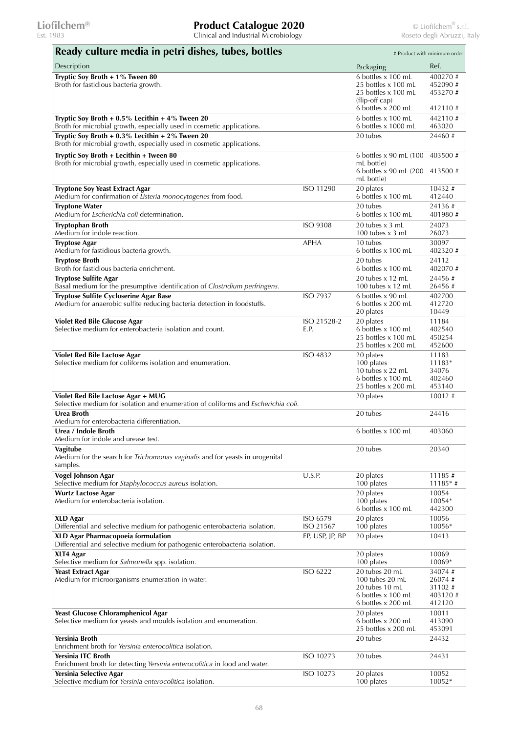| Ready culture media in petri dishes, tubes, bottles                                                                            |                       |                                                                                                          | # Product with minimum order                     |
|--------------------------------------------------------------------------------------------------------------------------------|-----------------------|----------------------------------------------------------------------------------------------------------|--------------------------------------------------|
| Description                                                                                                                    |                       | Packaging                                                                                                | Ref.                                             |
| Tryptic Soy Broth + 1% Tween 80<br>Broth for fastidious bacteria growth.                                                       |                       | 6 bottles x 100 mL<br>25 bottles x 100 mL<br>25 bottles x 100 mL<br>(flip-off cap)<br>6 bottles x 200 mL | 400270 #<br>452090#<br>453270 #<br>412110#       |
| Tryptic Soy Broth + $0.5\%$ Lecithin + $4\%$ Tween 20<br>Broth for microbial growth, especially used in cosmetic applications. |                       | 6 bottles x 100 mL<br>6 bottles $x$ 1000 mL                                                              | 442110#<br>463020                                |
| Tryptic Soy Broth + 0.3% Lecithin + 2% Tween 20<br>Broth for microbial growth, especially used in cosmetic applications.       |                       | 20 tubes                                                                                                 | 24460#                                           |
| Tryptic Soy Broth + Lecithin + Tween 80<br>Broth for microbial growth, especially used in cosmetic applications.               |                       | 6 bottles x 90 mL (100)<br>mL bottle)<br>6 bottles x 90 mL (200<br>mL bottle)                            | 403500 #<br>413500#                              |
| <b>Tryptone Soy Yeast Extract Agar</b><br>Medium for confirmation of Listeria monocytogenes from food.                         | ISO 11290             | 20 plates<br>6 bottles x 100 mL                                                                          | $10432 \#$<br>412440                             |
| <b>Tryptone Water</b><br>Medium for <i>Escherichia coli</i> determination.                                                     |                       | 20 tubes<br>6 bottles x 100 mL                                                                           | 24136 #<br>401980#                               |
| <b>Tryptophan Broth</b><br>Medium for indole reaction.                                                                         | ISO 9308              | 20 tubes x 3 mL<br>100 tubes $x$ 3 mL                                                                    | 24073<br>26073                                   |
| <b>Tryptose Agar</b><br>Medium for fastidious bacteria growth.                                                                 | <b>APHA</b>           | 10 tubes<br>6 bottles x 100 mL                                                                           | 30097<br>402320#                                 |
| <b>Tryptose Broth</b><br>Broth for fastidious bacteria enrichment.                                                             |                       | 20 tubes<br>6 bottles x 100 mL                                                                           | 24112<br>402070#                                 |
| <b>Tryptose Sulfite Agar</b><br>Basal medium for the presumptive identification of Clostridium perfringens.                    |                       | 20 tubes x 12 mL<br>100 tubes $x$ 12 mL                                                                  | 24456#<br>26456 #                                |
| Tryptose Sulfite Cycloserine Agar Base<br>Medium for anaerobic sulfite reducing bacteria detection in foodstuffs.              | ISO 7937              | 6 bottles x 90 mL<br>6 bottles x 200 mL<br>20 plates                                                     | 402700<br>412720<br>10449                        |
| <b>Violet Red Bile Glucose Agar</b><br>Selective medium for enterobacteria isolation and count.                                | ISO 21528-2<br>E.P.   | 20 plates<br>6 bottles x 100 mL<br>25 bottles x 100 mL<br>25 bottles x 200 mL                            | 11184<br>402540<br>450254<br>452600              |
| Violet Red Bile Lactose Agar<br>Selective medium for coliforms isolation and enumeration.                                      | ISO 4832              | 20 plates<br>100 plates<br>10 tubes x 22 mL<br>6 bottles x 100 mL<br>25 bottles x 200 mL                 | 11183<br>11183*<br>34076<br>402460<br>453140     |
| Violet Red Bile Lactose Agar + MUG<br>Selective medium for isolation and enumeration of coliforms and Escherichia coli.        |                       | 20 plates                                                                                                | 10012#                                           |
| <b>Urea Broth</b><br>Medium for enterobacteria differentiation.                                                                |                       | 20 tubes                                                                                                 | 24416                                            |
| Urea / Indole Broth<br>Medium for indole and urease test.                                                                      |                       | 6 bottles x 100 mL                                                                                       | 403060                                           |
| Vagitube<br>Medium for the search for Trichomonas vaginalis and for yeasts in urogenital<br>samples.                           |                       | 20 tubes                                                                                                 | 20340                                            |
| Vogel Johnson Agar<br>Selective medium for Staphylococcus aureus isolation.                                                    | U.S.P.                | 20 plates<br>100 plates                                                                                  | 11185#<br>$11185*$ #                             |
| <b>Wurtz Lactose Agar</b><br>Medium for enterobacteria isolation.                                                              |                       | 20 plates<br>100 plates<br>6 bottles x 100 mL                                                            | 10054<br>10054*<br>442300                        |
| <b>XLD Agar</b><br>Differential and selective medium for pathogenic enterobacteria isolation.                                  | ISO 6579<br>ISO 21567 | 20 plates<br>100 plates                                                                                  | 10056<br>10056*                                  |
| XLD Agar Pharmacopoeia formulation<br>Differential and selective medium for pathogenic enterobacteria isolation.               | EP, USP, JP, BP       | 20 plates                                                                                                | 10413                                            |
| XLT4 Agar<br>Selective medium for Salmonella spp. isolation.                                                                   |                       | 20 plates<br>100 plates                                                                                  | 10069<br>10069*                                  |
| <b>Yeast Extract Agar</b><br>Medium for microorganisms enumeration in water.                                                   | ISO 6222              | 20 tubes 20 mL<br>100 tubes 20 mL<br>20 tubes 10 mL<br>6 bottles x 100 mL<br>6 bottles x 200 mL          | 34074#<br>26074#<br>31102 #<br>403120#<br>412120 |
| Yeast Glucose Chloramphenicol Agar<br>Selective medium for yeasts and moulds isolation and enumeration.                        |                       | 20 plates<br>6 bottles x 200 mL<br>25 bottles x 200 mL                                                   | 10011<br>413090<br>453091                        |
| Yersinia Broth<br>Enrichment broth for Yersinia enterocolitica isolation.                                                      |                       | 20 tubes                                                                                                 | 24432                                            |
| Yersinia ITC Broth<br>Enrichment broth for detecting Yersinia enterocolitica in food and water.                                | ISO 10273             | 20 tubes                                                                                                 | 24431                                            |
| Yersinia Selective Agar<br>Selective medium for Yersinia enterocolitica isolation.                                             | ISO 10273             | 20 plates<br>100 plates                                                                                  | 10052<br>10052*                                  |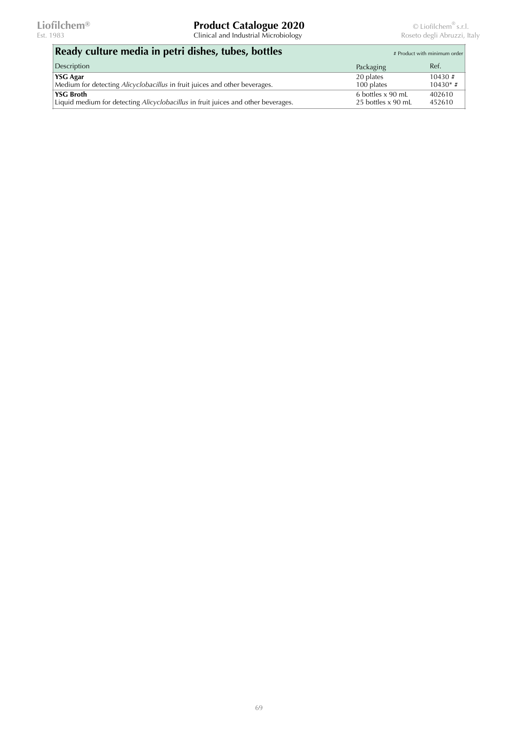| Ready culture media in petri dishes, tubes, bottles                               | # Product with minimum order |                     |
|-----------------------------------------------------------------------------------|------------------------------|---------------------|
| Description                                                                       | Packaging                    | Ref.                |
| <b>YSG Agar</b>                                                                   | 20 plates                    | $10430 \; \text{#}$ |
| Medium for detecting <i>Alicyclobacillus</i> in fruit juices and other beverages. | 100 plates                   | $10430*$ #          |
| <b>YSG Broth</b>                                                                  | 6 bottles x 90 mL            | 402610              |
| Liquid medium for detecting Alicyclobacillus in fruit juices and other beverages. | 25 bottles x 90 mL           | 452610              |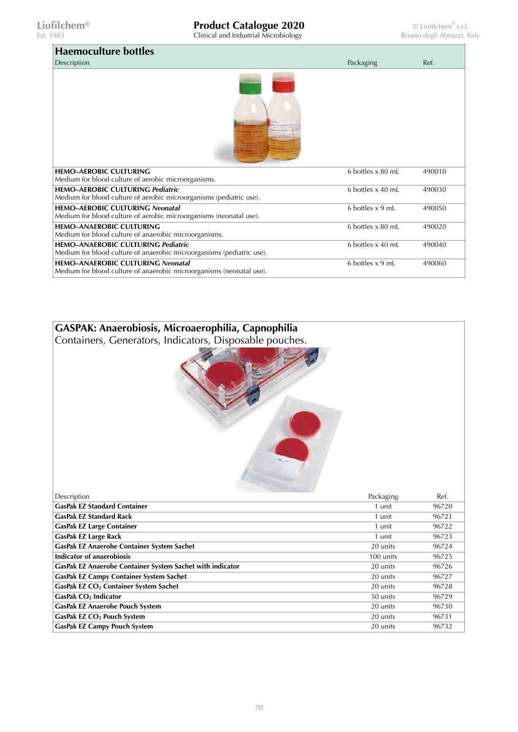Est. 1983 Clinical and Industrial Microbiology Roseto degli Abruzzi, Italy

| <b>Haemoculture bottles</b>                                                                                        |                   |        |
|--------------------------------------------------------------------------------------------------------------------|-------------------|--------|
| Description                                                                                                        | Packaging         | Ref.   |
|                                                                                                                    |                   |        |
| <b>HEMO-AEROBIC CULTURING</b><br>Medium for blood culture of aerobic microorganisms.                               | 6 bottles x 80 mL | 490010 |
| <b>HEMO-AEROBIC CULTURING Pediatric</b><br>Medium for blood culture of aerobic microorganisms (pediatric use).     | 6 bottles x 40 mL | 490030 |
| <b>HEMO-AEROBIC CULTURING Neonatal</b><br>Medium for blood culture of aerobic microorganisms (neonatal use).       | 6 bottles x 9 mL  | 490050 |
| <b>HEMO-ANAEROBIC CULTURING</b><br>Medium for blood culture of anaerobic microorganisms.                           | 6 bottles x 80 mL | 490020 |
| <b>HEMO-ANAEROBIC CULTURING Pediatric</b><br>Medium for blood culture of anaerobic microorganisms (pediatric use). | 6 bottles x 40 mL | 490040 |
| HEMO-ANAEROBIC CULTURING Neonatal<br>Medium for blood culture of anaerobic microorganisms (neonatal use).          | 6 bottles x 9 mL  | 490060 |

## **GASPAK: Anaerobiosis, Microaerophilia, Capnophilia**

Containers, Generators, Indicators, Disposable pouches.



| Description                                               | Packaging | Ref.  |
|-----------------------------------------------------------|-----------|-------|
| <b>GasPak EZ Standard Container</b>                       | 1 unit    | 96720 |
| <b>GasPak EZ Standard Rack</b>                            | 1 unit    | 96721 |
| <b>GasPak EZ Large Container</b>                          | 1 unit    | 96722 |
| <b>GasPak EZ Large Rack</b>                               | 1 unit    | 96723 |
| GasPak EZ Anaerobe Container System Sachet                | 20 units  | 96724 |
| Indicator of anaerobiosis                                 | 100 units | 96725 |
| GasPak EZ Anaerobe Container System Sachet with indicator | 20 units  | 96726 |
| <b>GasPak EZ Campy Container System Sachet</b>            | 20 units  | 96727 |
| GasPak EZ CO <sub>2</sub> Container System Sachet         | 20 units  | 96728 |
| GasPak CO <sub>2</sub> Indicator                          | 50 units  | 96729 |
| <b>GasPak EZ Anaerobe Pouch System</b>                    | 20 units  | 96730 |
| GasPak EZ CO <sub>2</sub> Pouch System                    | 20 units  | 96731 |
| <b>GasPak EZ Campy Pouch System</b>                       | 20 units  | 96732 |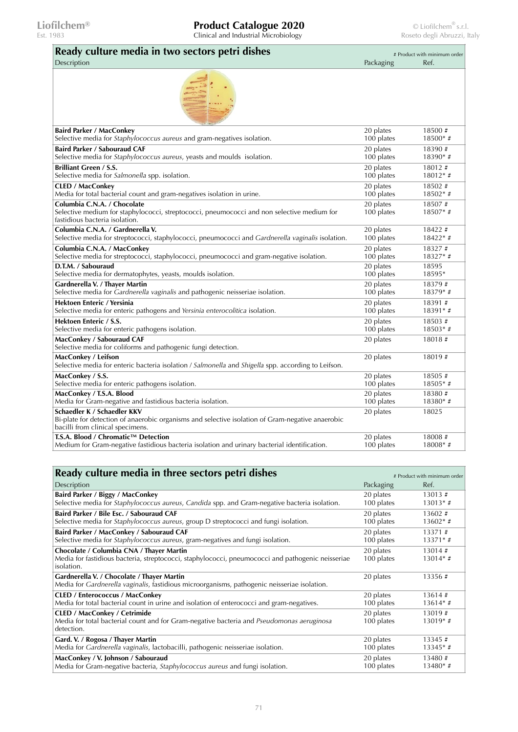| Ready culture media in two sectors petri dishes                                                                                                                     | # Product with minimum order |                      |
|---------------------------------------------------------------------------------------------------------------------------------------------------------------------|------------------------------|----------------------|
| Description                                                                                                                                                         | Packaging                    | Ref.                 |
|                                                                                                                                                                     |                              |                      |
| <b>Baird Parker / MacConkey</b>                                                                                                                                     | 20 plates                    | 18500 #              |
| Selective media for Staphylococcus aureus and gram-negatives isolation.                                                                                             | 100 plates                   | 18500* #             |
| <b>Baird Parker / Sabouraud CAF</b>                                                                                                                                 | 20 plates                    | 18390#               |
| Selective media for Staphylococcus aureus, yeasts and moulds isolation.                                                                                             | 100 plates                   | 18390*#              |
| <b>Brilliant Green / S.S.</b>                                                                                                                                       | 20 plates                    | 18012#               |
| Selective media for Salmonella spp. isolation.                                                                                                                      | 100 plates                   | $18012**$ #          |
| <b>CLED</b> / MacConkey                                                                                                                                             | $20$ plates                  | 18502#               |
| Media for total bacterial count and gram-negatives isolation in urine.                                                                                              | 100 plates                   | $18502**$ #          |
| Columbia C.N.A. / Chocolate<br>Selective medium for staphylococci, streptococci, pneumococci and non selective medium for<br>fastidious bacteria isolation.         | 20 plates<br>100 plates      | 18507#<br>$18507*$ # |
| Columbia C.N.A. / Gardnerella V.                                                                                                                                    | 20 plates                    | 18422 #              |
| Selective media for streptococci, staphylococci, pneumococci and Gardnerella vaginalis isolation.                                                                   | 100 plates                   | $18422**$ #          |
| Columbia C.N.A. / MacConkey                                                                                                                                         | 20 plates                    | 18327#               |
| Selective media for streptococci, staphylococci, pneumococci and gram-negative isolation.                                                                           | 100 plates                   | 18327*#              |
| D.T.M. / Sabouraud                                                                                                                                                  | 20 plates                    | 18595                |
| Selective media for dermatophytes, yeasts, moulds isolation.                                                                                                        | 100 plates                   | 18595*               |
| Gardnerella V. / Thayer Martin                                                                                                                                      | 20 plates                    | 18379#               |
| Selective media for Gardnerella vaginalis and pathogenic neisseriae isolation.                                                                                      | 100 plates                   | $18379*$ #           |
| Hektoen Enteric / Yersinia                                                                                                                                          | 20 plates                    | 18391#               |
| Selective media for enteric pathogens and Yersinia enterocolitica isolation.                                                                                        | 100 plates                   | 18391*#              |
| Hektoen Enteric / S.S.                                                                                                                                              | $20$ plates                  | 18503 #              |
| Selective media for enteric pathogens isolation.                                                                                                                    | 100 plates                   | $18503*$ #           |
| MacConkey / Sabouraud CAF<br>Selective media for coliforms and pathogenic fungi detection.                                                                          | 20 plates                    | 18018#               |
| MacConkey / Leifson<br>Selective media for enteric bacteria isolation / Salmonella and Shigella spp. according to Leifson.                                          | 20 plates                    | 18019#               |
| MacConkey / S.S.                                                                                                                                                    | 20 plates                    | 18505#               |
| Selective media for enteric pathogens isolation.                                                                                                                    | 100 plates                   | $18505*$ #           |
| MacConkey / T.S.A. Blood                                                                                                                                            | 20 plates                    | 18380#               |
| Media for Gram-negative and fastidious bacteria isolation.                                                                                                          | 100 plates                   | 18380*#              |
| Schaedler K / Schaedler KKV<br>Bi-plate for detection of anaerobic organisms and selective isolation of Gram-negative anaerobic<br>bacilli from clinical specimens. | 20 plates                    | 18025                |
| T.S.A. Blood / Chromatic™ Detection                                                                                                                                 | 20 plates                    | 18008#               |
| Medium for Gram-negative fastidious bacteria isolation and urinary bacterial identification.                                                                        | 100 plates                   | $18008*$ #           |

| Ready culture media in three sectors petri dishes                                                                                                           | # Product with minimum order |                      |
|-------------------------------------------------------------------------------------------------------------------------------------------------------------|------------------------------|----------------------|
| Description                                                                                                                                                 | Packaging                    | Ref.                 |
| Baird Parker / Biggy / MacConkey                                                                                                                            | 20 plates                    | 13013#               |
| Selective media for Staphylococcus aureus, Candida spp. and Gram-negative bacteria isolation.                                                               | 100 plates                   | $13013*$ #           |
| Baird Parker / Bile Esc. / Sabouraud CAF                                                                                                                    | 20 plates                    | 13602#               |
| Selective media for Staphylococcus aureus, group D streptococci and fungi isolation.                                                                        | 100 plates                   | $13602*$ #           |
| Baird Parker / MacConkey / Sabouraud CAF                                                                                                                    | 20 plates                    | 13371#               |
| Selective media for Staphylococcus aureus, gram-negatives and fungi isolation.                                                                              | 100 plates                   | $13371*$ #           |
| Chocolate / Columbia CNA / Thayer Martin<br>Media for fastidious bacteria, streptococci, staphylococci, pneumococci and pathogenic neisseriae<br>isolation. | 20 plates<br>100 plates      | 13014#<br>$13014*$ # |
| Gardnerella V. / Chocolate / Thayer Martin<br>Media for Gardnerella vaginalis, fastidious microorganisms, pathogenic neisseriae isolation.                  | 20 plates                    | 13356#               |
| <b>CLED / Enterococcus / MacConkey</b>                                                                                                                      | 20 plates                    | 13614#               |
| Media for total bacterial count in urine and isolation of enterococci and gram-negatives.                                                                   | 100 plates                   | $13614*$ #           |
| <b>CLED / MacConkey / Cetrimide</b><br>Media for total bacterial count and for Gram-negative bacteria and <i>Pseudomonas aeruginosa</i><br>detection.       | 20 plates<br>100 plates      | 13019#<br>$13019*$ # |
| Gard. V. / Rogosa / Thayer Martin                                                                                                                           | 20 plates                    | 13345#               |
| Media for Gardnerella vaginalis, lactobacilli, pathogenic neisseriae isolation.                                                                             | 100 plates                   | $13345**$ #          |
| MacConkey / V. Johnson / Sabouraud                                                                                                                          | 20 plates                    | 13480#               |
| Media for Gram-negative bacteria, <i>Staphylococcus aureus</i> and fungi isolation.                                                                         | 100 plates                   | $13480*$ #           |